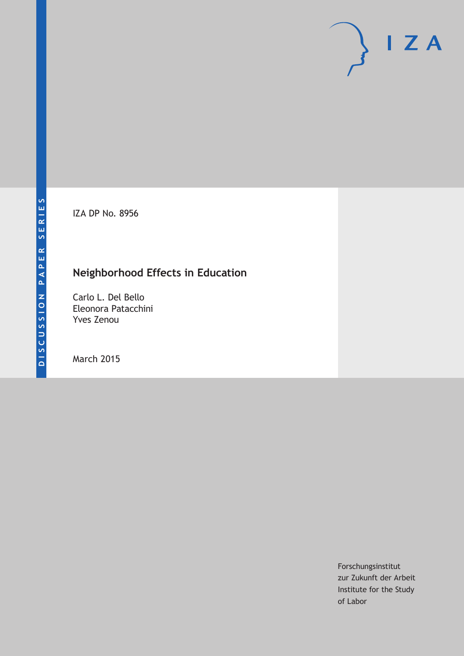IZA DP No. 8956

## **Neighborhood Effects in Education**

Carlo L. Del Bello Eleonora Patacchini Yves Zenou

March 2015

Forschungsinstitut zur Zukunft der Arbeit Institute for the Study of Labor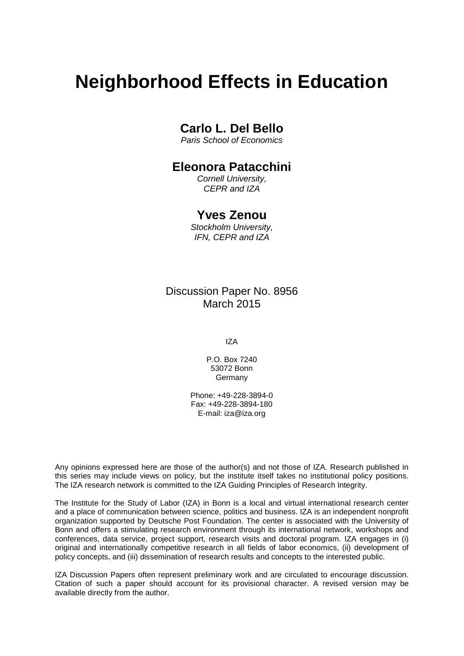# **Neighborhood Effects in Education**

## **Carlo L. Del Bello**

*Paris School of Economics*

## **Eleonora Patacchini**

*Cornell University, CEPR and IZA*

## **Yves Zenou**

*Stockholm University, IFN, CEPR and IZA*

Discussion Paper No. 8956 March 2015

IZA

P.O. Box 7240 53072 Bonn Germany

Phone: +49-228-3894-0 Fax: +49-228-3894-180 E-mail: iza@iza.org

Any opinions expressed here are those of the author(s) and not those of IZA. Research published in this series may include views on policy, but the institute itself takes no institutional policy positions. The IZA research network is committed to the IZA Guiding Principles of Research Integrity.

The Institute for the Study of Labor (IZA) in Bonn is a local and virtual international research center and a place of communication between science, politics and business. IZA is an independent nonprofit organization supported by Deutsche Post Foundation. The center is associated with the University of Bonn and offers a stimulating research environment through its international network, workshops and conferences, data service, project support, research visits and doctoral program. IZA engages in (i) original and internationally competitive research in all fields of labor economics, (ii) development of policy concepts, and (iii) dissemination of research results and concepts to the interested public.

IZA Discussion Papers often represent preliminary work and are circulated to encourage discussion. Citation of such a paper should account for its provisional character. A revised version may be available directly from the author.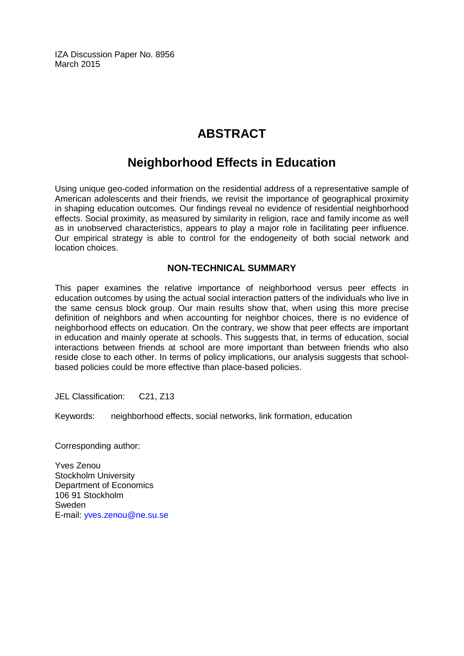IZA Discussion Paper No. 8956 March 2015

## **ABSTRACT**

## **Neighborhood Effects in Education**

Using unique geo-coded information on the residential address of a representative sample of American adolescents and their friends, we revisit the importance of geographical proximity in shaping education outcomes. Our findings reveal no evidence of residential neighborhood effects. Social proximity, as measured by similarity in religion, race and family income as well as in unobserved characteristics, appears to play a major role in facilitating peer influence. Our empirical strategy is able to control for the endogeneity of both social network and location choices.

## **NON-TECHNICAL SUMMARY**

This paper examines the relative importance of neighborhood versus peer effects in education outcomes by using the actual social interaction patters of the individuals who live in the same census block group. Our main results show that, when using this more precise definition of neighbors and when accounting for neighbor choices, there is no evidence of neighborhood effects on education. On the contrary, we show that peer effects are important in education and mainly operate at schools. This suggests that, in terms of education, social interactions between friends at school are more important than between friends who also reside close to each other. In terms of policy implications, our analysis suggests that schoolbased policies could be more effective than place-based policies.

JEL Classification: C21, Z13

Keywords: neighborhood effects, social networks, link formation, education

Corresponding author:

Yves Zenou Stockholm University Department of Economics 106 91 Stockholm **Sweden** E-mail: [yves.zenou@ne.su.se](mailto:yves.zenou@ne.su.se)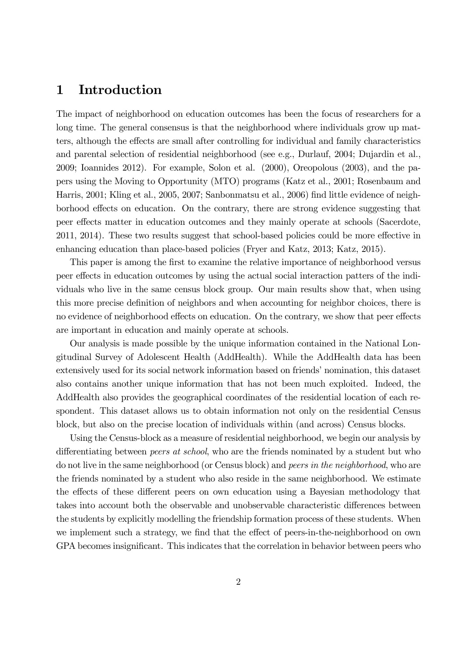## 1 Introduction

The impact of neighborhood on education outcomes has been the focus of researchers for a long time. The general consensus is that the neighborhood where individuals grow up matters, although the effects are small after controlling for individual and family characteristics and parental selection of residential neighborhood (see e.g., Durlauf, 2004; Dujardin et al., 2009; Ioannides 2012). For example, Solon et al. (2000), Oreopolous (2003), and the papers using the Moving to Opportunity (MTO) programs (Katz et al., 2001; Rosenbaum and Harris, 2001; Kling et al., 2005, 2007; Sanbonmatsu et al., 2006) find little evidence of neighborhood effects on education. On the contrary, there are strong evidence suggesting that peer effects matter in education outcomes and they mainly operate at schools (Sacerdote, 2011, 2014). These two results suggest that school-based policies could be more effective in enhancing education than place-based policies (Fryer and Katz, 2013; Katz, 2015).

This paper is among the first to examine the relative importance of neighborhood versus peer effects in education outcomes by using the actual social interaction patters of the individuals who live in the same census block group. Our main results show that, when using this more precise definition of neighbors and when accounting for neighbor choices, there is no evidence of neighborhood effects on education. On the contrary, we show that peer effects are important in education and mainly operate at schools.

Our analysis is made possible by the unique information contained in the National Longitudinal Survey of Adolescent Health (AddHealth). While the AddHealth data has been extensively used for its social network information based on friends' nomination, this dataset also contains another unique information that has not been much exploited. Indeed, the AddHealth also provides the geographical coordinates of the residential location of each respondent. This dataset allows us to obtain information not only on the residential Census block, but also on the precise location of individuals within (and across) Census blocks.

Using the Census-block as a measure of residential neighborhood, we begin our analysis by differentiating between *peers at school*, who are the friends nominated by a student but who do not live in the same neighborhood (or Census block) and peers in the neighborhood, who are the friends nominated by a student who also reside in the same neighborhood. We estimate the effects of these different peers on own education using a Bayesian methodology that takes into account both the observable and unobservable characteristic differences between the students by explicitly modelling the friendship formation process of these students. When we implement such a strategy, we find that the effect of peers-in-the-neighborhood on own GPA becomes insignificant. This indicates that the correlation in behavior between peers who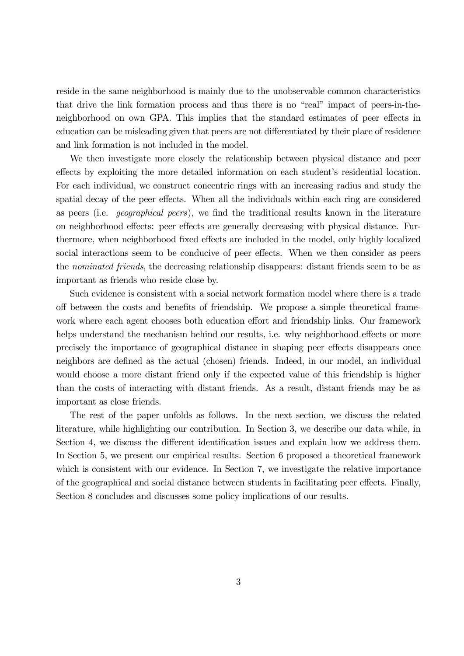reside in the same neighborhood is mainly due to the unobservable common characteristics that drive the link formation process and thus there is no "real" impact of peers-in-theneighborhood on own GPA. This implies that the standard estimates of peer effects in education can be misleading given that peers are not differentiated by their place of residence and link formation is not included in the model.

We then investigate more closely the relationship between physical distance and peer effects by exploiting the more detailed information on each student's residential location. For each individual, we construct concentric rings with an increasing radius and study the spatial decay of the peer effects. When all the individuals within each ring are considered as peers (i.e. geographical peers), we find the traditional results known in the literature on neighborhood effects: peer effects are generally decreasing with physical distance. Furthermore, when neighborhood fixed effects are included in the model, only highly localized social interactions seem to be conducive of peer effects. When we then consider as peers the nominated friends, the decreasing relationship disappears: distant friends seem to be as important as friends who reside close by.

Such evidence is consistent with a social network formation model where there is a trade off between the costs and benefits of friendship. We propose a simple theoretical framework where each agent chooses both education effort and friendship links. Our framework helps understand the mechanism behind our results, i.e. why neighborhood effects or more precisely the importance of geographical distance in shaping peer effects disappears once neighbors are defined as the actual (chosen) friends. Indeed, in our model, an individual would choose a more distant friend only if the expected value of this friendship is higher than the costs of interacting with distant friends. As a result, distant friends may be as important as close friends.

The rest of the paper unfolds as follows. In the next section, we discuss the related literature, while highlighting our contribution. In Section 3, we describe our data while, in Section 4, we discuss the different identification issues and explain how we address them. In Section 5, we present our empirical results. Section 6 proposed a theoretical framework which is consistent with our evidence. In Section 7, we investigate the relative importance of the geographical and social distance between students in facilitating peer effects. Finally, Section 8 concludes and discusses some policy implications of our results.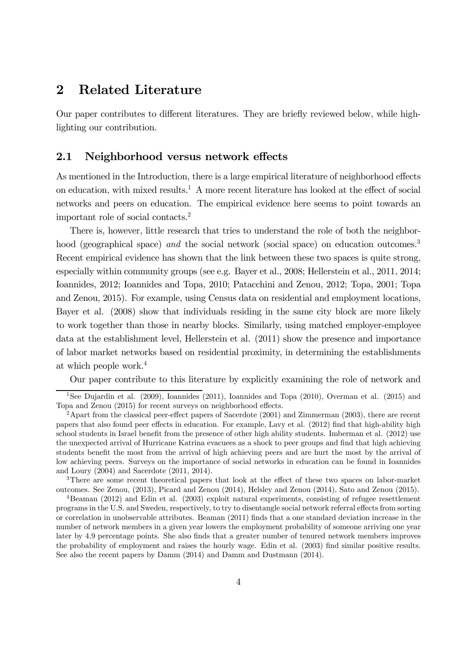## 2 Related Literature

Our paper contributes to different literatures. They are briefly reviewed below, while highlighting our contribution.

### 2.1 Neighborhood versus network effects

As mentioned in the Introduction, there is a large empirical literature of neighborhood effects on education, with mixed results.<sup>1</sup> A more recent literature has looked at the effect of social networks and peers on education. The empirical evidence here seems to point towards an important role of social contacts.2

There is, however, little research that tries to understand the role of both the neighborhood (geographical space) and the social network (social space) on education outcomes.<sup>3</sup> Recent empirical evidence has shown that the link between these two spaces is quite strong, especially within community groups (see e.g. Bayer et al., 2008; Hellerstein et al., 2011, 2014; Ioannides, 2012; Ioannides and Topa, 2010; Patacchini and Zenou, 2012; Topa, 2001; Topa and Zenou, 2015). For example, using Census data on residential and employment locations, Bayer et al. (2008) show that individuals residing in the same city block are more likely to work together than those in nearby blocks. Similarly, using matched employer-employee data at the establishment level, Hellerstein et al. (2011) show the presence and importance of labor market networks based on residential proximity, in determining the establishments at which people work.4

Our paper contribute to this literature by explicitly examining the role of network and

<sup>&</sup>lt;sup>1</sup>See Dujardin et al. (2009), Ioannides (2011), Ioannides and Topa (2010), Overman et al. (2015) and Topa and Zenou (2015) for recent surveys on neighborhood effects.

 $^{2}$ Apart from the classical peer-effect papers of Sacerdote (2001) and Zimmerman (2003), there are recent papers that also found peer effects in education. For example, Lavy et al. (2012) find that high-ability high school students in Israel benefit from the presence of other high ability students. Imberman et al. (2012) use the unexpected arrival of Hurricane Katrina evacuees as a shock to peer groups and find that high achieving students benefit the most from the arrival of high achieving peers and are hurt the most by the arrival of low achieving peers. Surveys on the importance of social networks in education can be found in Ioannides and Loury (2004) and Sacerdote (2011, 2014).

<sup>&</sup>lt;sup>3</sup>There are some recent theoretical papers that look at the effect of these two spaces on labor-market outcomes. See Zenou, (2013), Picard and Zenou (2014), Helsley and Zenou (2014), Sato and Zenou (2015).

<sup>4</sup>Beaman (2012) and Edin et al. (2003) exploit natural experiments, consisting of refugee resettlement programs in the U.S. and Sweden, respectively, to try to disentangle social network referral effects from sorting or correlation in unobservable attributes. Beaman (2011) finds that a one standard deviation increase in the number of network members in a given year lowers the employment probability of someone arriving one year later by 4.9 percentage points. She also finds that a greater number of tenured network members improves the probability of employment and raises the hourly wage. Edin et al. (2003) find similar positive results. See also the recent papers by Damm (2014) and Damm and Dustmann (2014).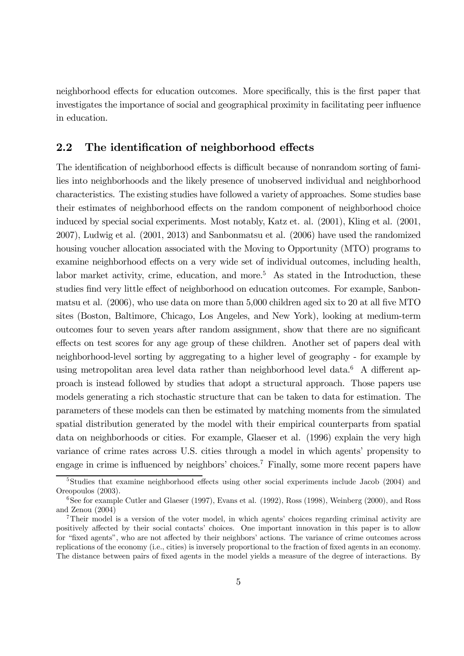neighborhood effects for education outcomes. More specifically, this is the first paper that investigates the importance of social and geographical proximity in facilitating peer influence in education.

### 2.2 The identification of neighborhood effects

The identification of neighborhood effects is difficult because of nonrandom sorting of families into neighborhoods and the likely presence of unobserved individual and neighborhood characteristics. The existing studies have followed a variety of approaches. Some studies base their estimates of neighborhood effects on the random component of neighborhood choice induced by special social experiments. Most notably, Katz et. al. (2001), Kling et al. (2001, 2007), Ludwig et al. (2001, 2013) and Sanbonmatsu et al. (2006) have used the randomized housing voucher allocation associated with the Moving to Opportunity (MTO) programs to examine neighborhood effects on a very wide set of individual outcomes, including health, labor market activity, crime, education, and more.<sup>5</sup> As stated in the Introduction, these studies find very little effect of neighborhood on education outcomes. For example, Sanbonmatsu et al. (2006), who use data on more than 5,000 children aged six to 20 at all five MTO sites (Boston, Baltimore, Chicago, Los Angeles, and New York), looking at medium-term outcomes four to seven years after random assignment, show that there are no significant effects on test scores for any age group of these children. Another set of papers deal with neighborhood-level sorting by aggregating to a higher level of geography - for example by using metropolitan area level data rather than neighborhood level data.<sup>6</sup> A different approach is instead followed by studies that adopt a structural approach. Those papers use models generating a rich stochastic structure that can be taken to data for estimation. The parameters of these models can then be estimated by matching moments from the simulated spatial distribution generated by the model with their empirical counterparts from spatial data on neighborhoods or cities. For example, Glaeser et al. (1996) explain the very high variance of crime rates across U.S. cities through a model in which agents' propensity to engage in crime is influenced by neighbors' choices.7 Finally, some more recent papers have

<sup>&</sup>lt;sup>5</sup>Studies that examine neighborhood effects using other social experiments include Jacob (2004) and Oreopoulos (2003).

 $6$ See for example Cutler and Glaeser (1997), Evans et al. (1992), Ross (1998), Weinberg (2000), and Ross and Zenou (2004)

<sup>&</sup>lt;sup>7</sup>Their model is a version of the voter model, in which agents' choices regarding criminal activity are positively affected by their social contacts' choices. One important innovation in this paper is to allow for "fixed agents", who are not affected by their neighbors' actions. The variance of crime outcomes across replications of the economy (i.e., cities) is inversely proportional to the fraction of fixed agents in an economy. The distance between pairs of fixed agents in the model yields a measure of the degree of interactions. By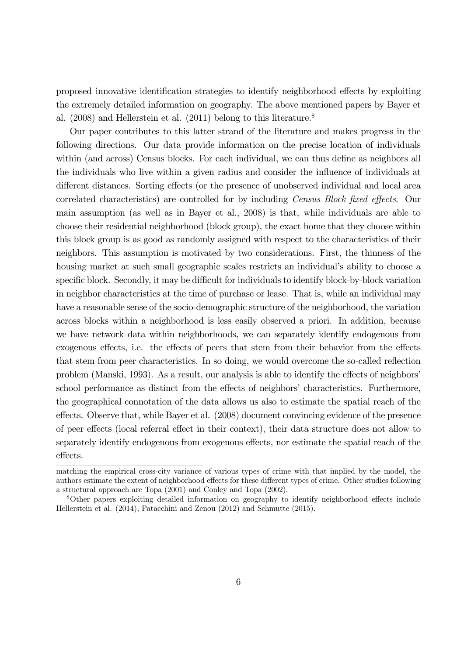proposed innovative identification strategies to identify neighborhood effects by exploiting the extremely detailed information on geography. The above mentioned papers by Bayer et al.  $(2008)$  and Hellerstein et al.  $(2011)$  belong to this literature.<sup>8</sup>

Our paper contributes to this latter strand of the literature and makes progress in the following directions. Our data provide information on the precise location of individuals within (and across) Census blocks. For each individual, we can thus define as neighbors all the individuals who live within a given radius and consider the influence of individuals at different distances. Sorting effects (or the presence of unobserved individual and local area correlated characteristics) are controlled for by including Census Block fixed effects. Our main assumption (as well as in Bayer et al., 2008) is that, while individuals are able to choose their residential neighborhood (block group), the exact home that they choose within this block group is as good as randomly assigned with respect to the characteristics of their neighbors. This assumption is motivated by two considerations. First, the thinness of the housing market at such small geographic scales restricts an individual's ability to choose a specific block. Secondly, it may be difficult for individuals to identify block-by-block variation in neighbor characteristics at the time of purchase or lease. That is, while an individual may have a reasonable sense of the socio-demographic structure of the neighborhood, the variation across blocks within a neighborhood is less easily observed a priori. In addition, because we have network data within neighborhoods, we can separately identify endogenous from exogenous effects, i.e. the effects of peers that stem from their behavior from the effects that stem from peer characteristics. In so doing, we would overcome the so-called reflection problem (Manski, 1993). As a result, our analysis is able to identify the effects of neighbors' school performance as distinct from the effects of neighbors' characteristics. Furthermore, the geographical connotation of the data allows us also to estimate the spatial reach of the effects. Observe that, while Bayer et al. (2008) document convincing evidence of the presence of peer effects (local referral effect in their context), their data structure does not allow to separately identify endogenous from exogenous effects, nor estimate the spatial reach of the effects.

matching the empirical cross-city variance of various types of crime with that implied by the model, the authors estimate the extent of neighborhood effects for these different types of crime. Other studies following a structural approach are Topa (2001) and Conley and Topa (2002).

<sup>8</sup>Other papers exploiting detailed information on geography to identify neighborhood effects include Hellerstein et al. (2014), Patacchini and Zenou (2012) and Schmutte (2015).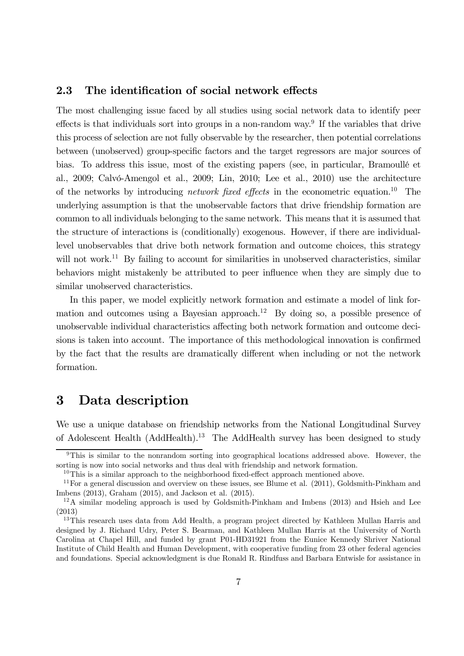### 2.3 The identification of social network effects

The most challenging issue faced by all studies using social network data to identify peer effects is that individuals sort into groups in a non-random way.<sup>9</sup> If the variables that drive this process of selection are not fully observable by the researcher, then potential correlations between (unobserved) group-specific factors and the target regressors are major sources of bias. To address this issue, most of the existing papers (see, in particular, Bramoullé et al., 2009; Calvó-Amengol et al., 2009; Lin, 2010; Lee et al., 2010) use the architecture of the networks by introducing *network fixed effects* in the econometric equation.<sup>10</sup> The underlying assumption is that the unobservable factors that drive friendship formation are common to all individuals belonging to the same network. This means that it is assumed that the structure of interactions is (conditionally) exogenous. However, if there are individuallevel unobservables that drive both network formation and outcome choices, this strategy will not work.<sup>11</sup> By failing to account for similarities in unobserved characteristics, similar behaviors might mistakenly be attributed to peer influence when they are simply due to similar unobserved characteristics.

In this paper, we model explicitly network formation and estimate a model of link formation and outcomes using a Bayesian approach.<sup>12</sup> By doing so, a possible presence of unobservable individual characteristics affecting both network formation and outcome decisions is taken into account. The importance of this methodological innovation is confirmed by the fact that the results are dramatically different when including or not the network formation.

## 3 Data description

We use a unique database on friendship networks from the National Longitudinal Survey of Adolescent Health (AddHealth).13 The AddHealth survey has been designed to study

<sup>&</sup>lt;sup>9</sup>This is similar to the nonrandom sorting into geographical locations addressed above. However, the sorting is now into social networks and thus deal with friendship and network formation.

 $10$ This is a similar approach to the neighborhood fixed-effect approach mentioned above.

 $11$  For a general discussion and overview on these issues, see Blume et al. (2011), Goldsmith-Pinkham and Imbens (2013), Graham (2015), and Jackson et al. (2015).

<sup>&</sup>lt;sup>12</sup>A similar modeling approach is used by Goldsmith-Pinkham and Imbens (2013) and Hsieh and Lee (2013)

<sup>&</sup>lt;sup>13</sup>This research uses data from Add Health, a program project directed by Kathleen Mullan Harris and designed by J. Richard Udry, Peter S. Bearman, and Kathleen Mullan Harris at the University of North Carolina at Chapel Hill, and funded by grant P01-HD31921 from the Eunice Kennedy Shriver National Institute of Child Health and Human Development, with cooperative funding from 23 other federal agencies and foundations. Special acknowledgment is due Ronald R. Rindfuss and Barbara Entwisle for assistance in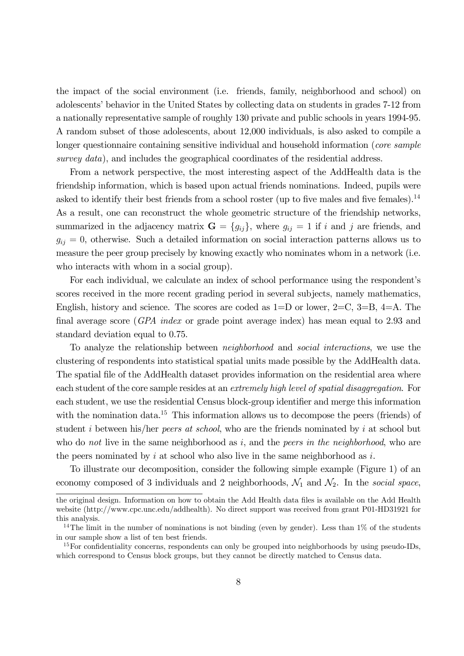the impact of the social environment (i.e. friends, family, neighborhood and school) on adolescents' behavior in the United States by collecting data on students in grades 7-12 from a nationally representative sample of roughly 130 private and public schools in years 1994-95. A random subset of those adolescents, about 12,000 individuals, is also asked to compile a longer questionnaire containing sensitive individual and household information (*core sample* survey data), and includes the geographical coordinates of the residential address.

From a network perspective, the most interesting aspect of the AddHealth data is the friendship information, which is based upon actual friends nominations. Indeed, pupils were asked to identify their best friends from a school roster (up to five males and five females).<sup>14</sup> As a result, one can reconstruct the whole geometric structure of the friendship networks, summarized in the adjacency matrix  $\mathbf{G} = \{g_{ij}\}\$ , where  $g_{ij} = 1$  if i and j are friends, and  $g_{ij} = 0$ , otherwise. Such a detailed information on social interaction patterns allows us to measure the peer group precisely by knowing exactly who nominates whom in a network (i.e. who interacts with whom in a social group).

For each individual, we calculate an index of school performance using the respondent's scores received in the more recent grading period in several subjects, namely mathematics, English, history and science. The scores are coded as  $1=D$  or lower,  $2=C$ ,  $3=B$ ,  $4=A$ . The final average score (GPA index or grade point average index) has mean equal to 2.93 and standard deviation equal to 0.75.

To analyze the relationship between neighborhood and social interactions, we use the clustering of respondents into statistical spatial units made possible by the AddHealth data. The spatial file of the AddHealth dataset provides information on the residential area where each student of the core sample resides at an extremely high level of spatial disaggregation. For each student, we use the residential Census block-group identifier and merge this information with the nomination data.<sup>15</sup> This information allows us to decompose the peers (friends) of student *i* between his/her *peers at school*, who are the friends nominated by *i* at school but who do not live in the same neighborhood as  $i$ , and the *peers in the neighborhood*, who are the peers nominated by  $i$  at school who also live in the same neighborhood as  $i$ .

To illustrate our decomposition, consider the following simple example (Figure 1) of an economy composed of 3 individuals and 2 neighborhoods,  $\mathcal{N}_1$  and  $\mathcal{N}_2$ . In the social space,

the original design. Information on how to obtain the Add Health data files is available on the Add Health website (http://www.cpc.unc.edu/addhealth). No direct support was received from grant P01-HD31921 for this analysis.

<sup>&</sup>lt;sup>14</sup>The limit in the number of nominations is not binding (even by gender). Less than  $1\%$  of the students in our sample show a list of ten best friends.

<sup>&</sup>lt;sup>15</sup>For confidentiality concerns, respondents can only be grouped into neighborhoods by using pseudo-IDs, which correspond to Census block groups, but they cannot be directly matched to Census data.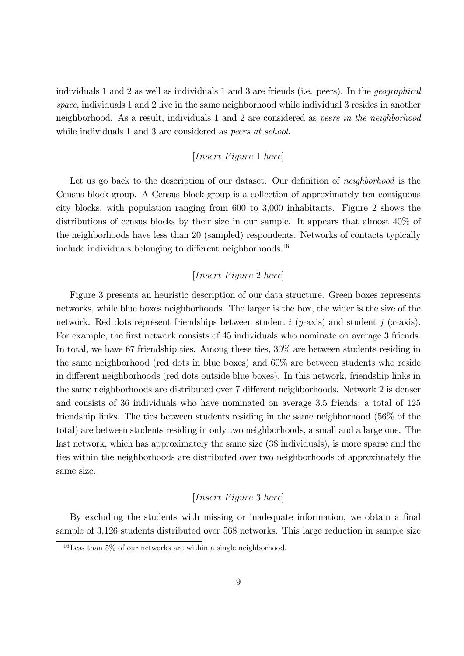individuals 1 and 2 as well as individuals 1 and 3 are friends (i.e. peers). In the geographical space, individuals 1 and 2 live in the same neighborhood while individual 3 resides in another neighborhood. As a result, individuals 1 and 2 are considered as peers in the neighborhood while individuals 1 and 3 are considered as *peers at school*.

### $[Insert \, Figure \, 1 \, here]$

Let us go back to the description of our dataset. Our definition of *neighborhood* is the Census block-group. A Census block-group is a collection of approximately ten contiguous city blocks, with population ranging from 600 to 3,000 inhabitants. Figure 2 shows the distributions of census blocks by their size in our sample. It appears that almost 40% of the neighborhoods have less than 20 (sampled) respondents. Networks of contacts typically include individuals belonging to different neighborhoods.<sup>16</sup>

### $[Insert \, Figure\, 2 \, here]$

Figure 3 presents an heuristic description of our data structure. Green boxes represents networks, while blue boxes neighborhoods. The larger is the box, the wider is the size of the network. Red dots represent friendships between student  $i$  ( $y$ -axis) and student  $j$  ( $x$ -axis). For example, the first network consists of 45 individuals who nominate on average 3 friends. In total, we have 67 friendship ties. Among these ties,  $30\%$  are between students residing in the same neighborhood (red dots in blue boxes) and 60% are between students who reside in different neighborhoods (red dots outside blue boxes). In this network, friendship links in the same neighborhoods are distributed over 7 different neighborhoods. Network 2 is denser and consists of 36 individuals who have nominated on average 3.5 friends; a total of 125 friendship links. The ties between students residing in the same neighborhood (56% of the total) are between students residing in only two neighborhoods, a small and a large one. The last network, which has approximately the same size (38 individuals), is more sparse and the ties within the neighborhoods are distributed over two neighborhoods of approximately the same size.

### $[Insert \; Figure\; 3 \; here]$

By excluding the students with missing or inadequate information, we obtain a final sample of 3,126 students distributed over 568 networks. This large reduction in sample size

 $16$  Less than 5% of our networks are within a single neighborhood.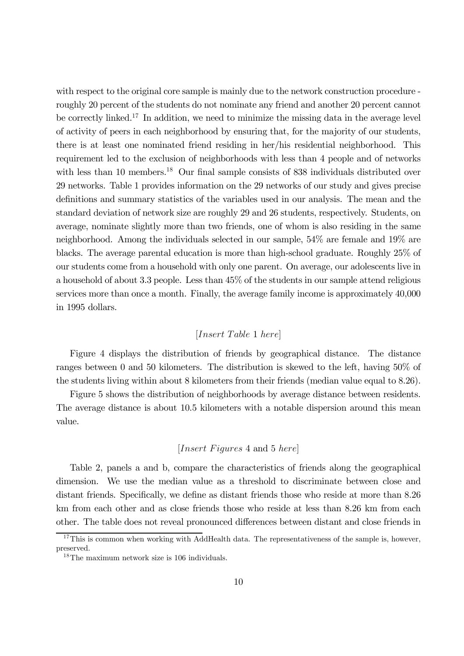with respect to the original core sample is mainly due to the network construction procedure roughly 20 percent of the students do not nominate any friend and another 20 percent cannot be correctly linked.<sup>17</sup> In addition, we need to minimize the missing data in the average level of activity of peers in each neighborhood by ensuring that, for the majority of our students, there is at least one nominated friend residing in her/his residential neighborhood. This requirement led to the exclusion of neighborhoods with less than 4 people and of networks with less than 10 members.<sup>18</sup> Our final sample consists of 838 individuals distributed over 29 networks. Table 1 provides information on the 29 networks of our study and gives precise definitions and summary statistics of the variables used in our analysis. The mean and the standard deviation of network size are roughly 29 and 26 students, respectively. Students, on average, nominate slightly more than two friends, one of whom is also residing in the same neighborhood. Among the individuals selected in our sample, 54% are female and 19% are blacks. The average parental education is more than high-school graduate. Roughly 25% of our students come from a household with only one parent. On average, our adolescents live in a household of about 3.3 people. Less than 45% of the students in our sample attend religious services more than once a month. Finally, the average family income is approximately 40,000 in 1995 dollars.

### $[Insert\ Table\ 1\ here]$

Figure 4 displays the distribution of friends by geographical distance. The distance ranges between 0 and 50 kilometers. The distribution is skewed to the left, having 50% of the students living within about 8 kilometers from their friends (median value equal to 8.26).

Figure 5 shows the distribution of neighborhoods by average distance between residents. The average distance is about 10.5 kilometers with a notable dispersion around this mean value.

### [*Insert Figures* 4 and 5 *here*]

Table 2, panels a and b, compare the characteristics of friends along the geographical dimension. We use the median value as a threshold to discriminate between close and distant friends. Specifically, we define as distant friends those who reside at more than 8.26 km from each other and as close friends those who reside at less than 8.26 km from each other. The table does not reveal pronounced differences between distant and close friends in

 $17$ This is common when working with AddHealth data. The representativeness of the sample is, however, preserved.

<sup>18</sup>The maximum network size is 106 individuals.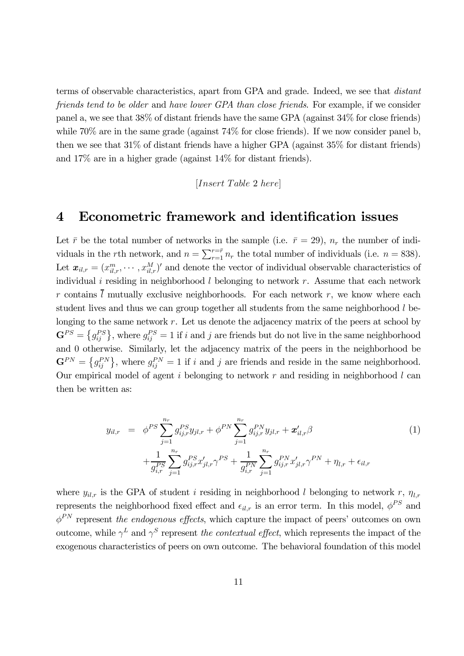terms of observable characteristics, apart from GPA and grade. Indeed, we see that distant friends tend to be older and have lower GPA than close friends. For example, if we consider panel a, we see that 38% of distant friends have the same GPA (against 34% for close friends) while  $70\%$  are in the same grade (against  $74\%$  for close friends). If we now consider panel b, then we see that 31% of distant friends have a higher GPA (against 35% for distant friends) and 17% are in a higher grade (against 14% for distant friends).

 $[Insert\ Table\ 2\ here]$ 

## 4 Econometric framework and identification issues

Let  $\bar{r}$  be the total number of networks in the sample (i.e.  $\bar{r} = 29$ ),  $n_r$  the number of individuals in the rth network, and  $n = \sum_{r=1}^{r=\bar{r}} n_r$  the total number of individuals (i.e.  $n = 838$ ). Let  $\boldsymbol{x}_{il,r} = (x_{il,r}^m, \cdots, x_{il,r}^M)'$  and denote the vector of individual observable characteristics of individual  $i$  residing in neighborhood  $l$  belonging to network  $r$ . Assume that each network r contains  $\overline{l}$  mutually exclusive neighborhoods. For each network r, we know where each student lives and thus we can group together all students from the same neighborhood  $l$  belonging to the same network  $r$ . Let us denote the adjacency matrix of the peers at school by  $\mathbf{G}^{PS} = \{g^{PS}_{ij}\}\text{, where } g^{PS}_{ij} = 1 \text{ if } i \text{ and } j \text{ are friends but do not live in the same neighborhood.}$ and 0 otherwise. Similarly, let the adjacency matrix of the peers in the neighborhood be  $\mathbf{G}^{PN} = \{g_{ij}^{PN}\}\text{, where } g_{ij}^{PN} = 1 \text{ if } i \text{ and } j \text{ are friends and reside in the same neighborhood.}$ Our empirical model of agent  $i$  belonging to network  $r$  and residing in neighborhood  $l$  can then be written as:

$$
y_{il,r} = \phi^{PS} \sum_{j=1}^{n_r} g_{ij,r}^{PS} y_{jl,r} + \phi^{PN} \sum_{j=1}^{n_r} g_{ij,r}^{PN} y_{jl,r} + \mathbf{x}'_{il,r} \beta
$$
  
+ 
$$
\frac{1}{g_{i,r}^{PS}} \sum_{j=1}^{n_r} g_{ij,r}^{PS} x'_{jl,r} \gamma^{PS} + \frac{1}{g_{i,r}^{PN}} \sum_{j=1}^{n_r} g_{ij,r}^{PN} x'_{jl,r} \gamma^{PN} + \eta_{l,r} + \epsilon_{il,r}
$$
(1)

where  $y_{il,r}$  is the GPA of student *i* residing in neighborhood *l* belonging to network r,  $\eta_{l,r}$ represents the neighborhood fixed effect and  $\epsilon_{il,r}$  is an error term. In this model,  $\phi^{PS}$  and  $\phi^{PN}$  represent the endogenous effects, which capture the impact of peers' outcomes on own outcome, while  $\gamma^L$  and  $\gamma^S$  represent the contextual effect, which represents the impact of the exogenous characteristics of peers on own outcome. The behavioral foundation of this model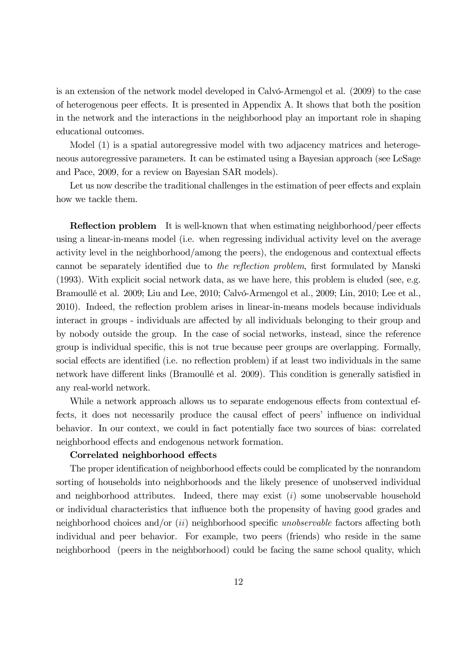is an extension of the network model developed in Calvó-Armengol et al. (2009) to the case of heterogenous peer effects. It is presented in Appendix A. It shows that both the position in the network and the interactions in the neighborhood play an important role in shaping educational outcomes.

Model (1) is a spatial autoregressive model with two adjacency matrices and heterogeneous autoregressive parameters. It can be estimated using a Bayesian approach (see LeSage and Pace, 2009, for a review on Bayesian SAR models).

Let us now describe the traditional challenges in the estimation of peer effects and explain how we tackle them.

Reflection problem It is well-known that when estimating neighborhood/peer effects using a linear-in-means model (i.e. when regressing individual activity level on the average activity level in the neighborhood/among the peers), the endogenous and contextual effects cannot be separately identified due to the reflection problem, first formulated by Manski (1993). With explicit social network data, as we have here, this problem is eluded (see, e.g. Bramoullé et al. 2009; Liu and Lee, 2010; Calvó-Armengol et al., 2009; Lin, 2010; Lee et al., 2010). Indeed, the reflection problem arises in linear-in-means models because individuals interact in groups - individuals are affected by all individuals belonging to their group and by nobody outside the group. In the case of social networks, instead, since the reference group is individual specific, this is not true because peer groups are overlapping. Formally, social effects are identified (i.e. no reflection problem) if at least two individuals in the same network have different links (Bramoullé et al. 2009). This condition is generally satisfied in any real-world network.

While a network approach allows us to separate endogenous effects from contextual effects, it does not necessarily produce the causal effect of peers' influence on individual behavior. In our context, we could in fact potentially face two sources of bias: correlated neighborhood effects and endogenous network formation.

### Correlated neighborhood effects

The proper identification of neighborhood effects could be complicated by the nonrandom sorting of households into neighborhoods and the likely presence of unobserved individual and neighborhood attributes. Indeed, there may exist  $(i)$  some unobservable household or individual characteristics that influence both the propensity of having good grades and neighborhood choices and/or  $(ii)$  neighborhood specific unobservable factors affecting both individual and peer behavior. For example, two peers (friends) who reside in the same neighborhood (peers in the neighborhood) could be facing the same school quality, which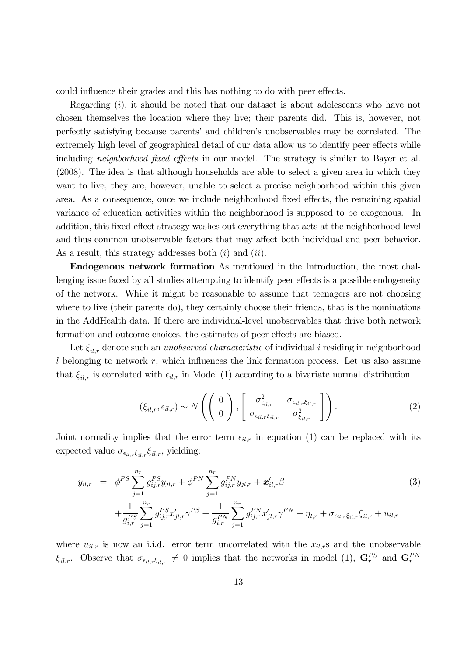could influence their grades and this has nothing to do with peer effects.

Regarding  $(i)$ , it should be noted that our dataset is about adolescents who have not chosen themselves the location where they live; their parents did. This is, however, not perfectly satisfying because parents' and children's unobservables may be correlated. The extremely high level of geographical detail of our data allow us to identify peer effects while including *neighborhood fixed effects* in our model. The strategy is similar to Bayer et al. (2008). The idea is that although households are able to select a given area in which they want to live, they are, however, unable to select a precise neighborhood within this given area. As a consequence, once we include neighborhood fixed effects, the remaining spatial variance of education activities within the neighborhood is supposed to be exogenous. In addition, this fixed-effect strategy washes out everything that acts at the neighborhood level and thus common unobservable factors that may affect both individual and peer behavior. As a result, this strategy addresses both  $(i)$  and  $(ii)$ .

Endogenous network formation As mentioned in the Introduction, the most challenging issue faced by all studies attempting to identify peer effects is a possible endogeneity of the network. While it might be reasonable to assume that teenagers are not choosing where to live (their parents do), they certainly choose their friends, that is the nominations in the AddHealth data. If there are individual-level unobservables that drive both network formation and outcome choices, the estimates of peer effects are biased.

Let  $\xi_{il,r}$  denote such an unobserved characteristic of individual i residing in neighborhood  $l$  belonging to network  $r$ , which influences the link formation process. Let us also assume that  $\xi_{il,r}$  is correlated with  $\epsilon_{il,r}$  in Model (1) according to a bivariate normal distribution

$$
(\xi_{il,r}, \epsilon_{il,r}) \sim N\left(\left(\begin{array}{c}0\\0\end{array}\right), \left[\begin{array}{cc}\sigma_{\epsilon_{il,r}}^2 & \sigma_{\epsilon_{il,r}\xi_{il,r}}\\ \sigma_{\epsilon_{il,r}\xi_{il,r}} & \sigma_{\xi_{il,r}}^2\end{array}\right]\right).
$$
 (2)

Joint normality implies that the error term  $\epsilon_{il,r}$  in equation (1) can be replaced with its expected value  $\sigma_{\epsilon_{il,r}\xi_{il,r}}\xi_{il,r}$ , yielding:

$$
y_{il,r} = \phi^{PS} \sum_{j=1}^{n_r} g_{ij,r}^{PS} y_{jl,r} + \phi^{PN} \sum_{j=1}^{n_r} g_{ij,r}^{PN} y_{jl,r} + \mathbf{x}'_{il,r} \beta
$$
  
+ 
$$
\frac{1}{g_{i,r}^{PS}} \sum_{j=1}^{n_r} g_{ij,r}^{PS} x'_{jl,r} \gamma^{PS} + \frac{1}{g_{i,r}^{PN}} \sum_{j=1}^{n_r} g_{ij,r}^{PN} x'_{jl,r} \gamma^{PN} + \eta_{l,r} + \sigma_{\epsilon_{il,r}\xi_{il,r}} \xi_{il,r} + u_{il,r}
$$
(3)

where  $u_{il,r}$  is now an i.i.d. error term uncorrelated with the  $x_{il,r}$ s and the unobservable  $\xi_{il,r}$ . Observe that  $\sigma_{\epsilon_{il,r}} \neq 0$  implies that the networks in model (1),  $\mathbf{G}_r^{PS}$  and  $\mathbf{G}_r^{PN}$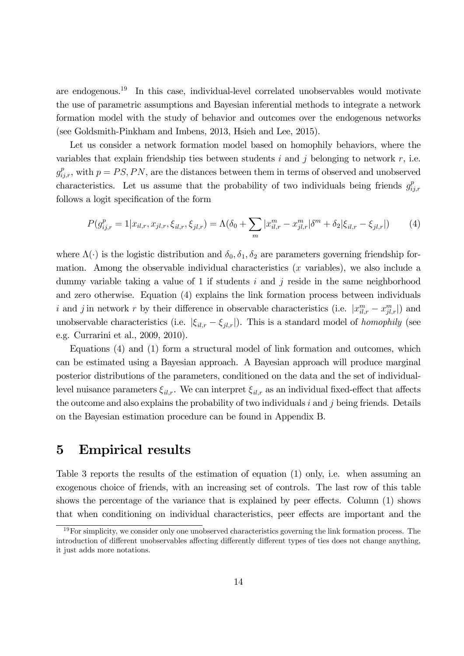are endogenous.<sup>19</sup> In this case, individual-level correlated unobservables would motivate the use of parametric assumptions and Bayesian inferential methods to integrate a network formation model with the study of behavior and outcomes over the endogenous networks (see Goldsmith-Pinkham and Imbens, 2013, Hsieh and Lee, 2015).

Let us consider a network formation model based on homophily behaviors, where the variables that explain friendship ties between students  $i$  and  $j$  belonging to network  $r$ , i.e.  $g_{ij,r}^p$ , with  $p = PS, PN$ , are the distances between them in terms of observed and unobserved characteristics. Let us assume that the probability of two individuals being friends  $g_{ij,r}^p$ follows a logit specification of the form

$$
P(g_{ij,r}^p = 1 | x_{il,r}, x_{jl,r}, \xi_{il,r}, \xi_{jl,r}) = \Lambda(\delta_0 + \sum_m |x_{il,r}^m - x_{jl,r}^m| \delta^m + \delta_2 |\xi_{il,r} - \xi_{jl,r}|) \tag{4}
$$

where  $\Lambda(\cdot)$  is the logistic distribution and  $\delta_0, \delta_1, \delta_2$  are parameters governing friendship formation. Among the observable individual characteristics  $(x$  variables), we also include a dummy variable taking a value of 1 if students  $i$  and  $j$  reside in the same neighborhood and zero otherwise. Equation (4) explains the link formation process between individuals i and j in network r by their difference in observable characteristics (i.e.  $|x_{il,r}^m - x_{jl,r}^m|$ ) and unobservable characteristics (i.e.  $|\xi_{il,r} - \xi_{jl,r}|$ ). This is a standard model of *homophily* (see e.g. Currarini et al., 2009, 2010).

Equations (4) and (1) form a structural model of link formation and outcomes, which can be estimated using a Bayesian approach. A Bayesian approach will produce marginal posterior distributions of the parameters, conditioned on the data and the set of individuallevel nuisance parameters  $\xi_{il,r}$ . We can interpret  $\xi_{il,r}$  as an individual fixed-effect that affects the outcome and also explains the probability of two individuals  $i$  and  $j$  being friends. Details on the Bayesian estimation procedure can be found in Appendix B.

## 5 Empirical results

Table 3 reports the results of the estimation of equation (1) only, i.e. when assuming an exogenous choice of friends, with an increasing set of controls. The last row of this table shows the percentage of the variance that is explained by peer effects. Column (1) shows that when conditioning on individual characteristics, peer effects are important and the

 $19\,\text{For simplicity, we consider only one unobserved characteristics governing the link formation process. The$ introduction of different unobservables affecting differently different types of ties does not change anything, it just adds more notations.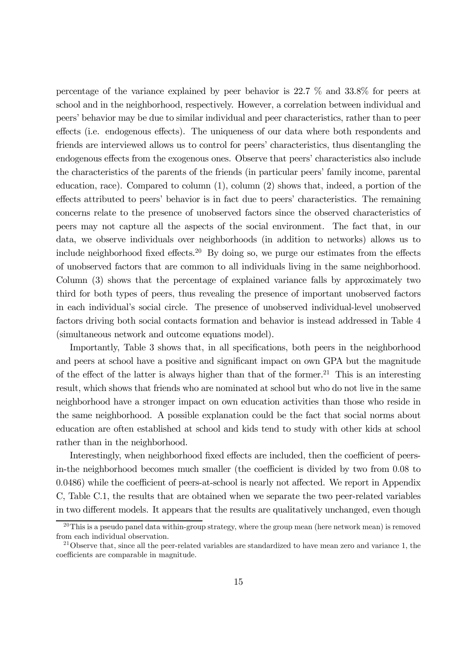percentage of the variance explained by peer behavior is 22.7 % and 33.8% for peers at school and in the neighborhood, respectively. However, a correlation between individual and peers' behavior may be due to similar individual and peer characteristics, rather than to peer effects (i.e. endogenous effects). The uniqueness of our data where both respondents and friends are interviewed allows us to control for peers' characteristics, thus disentangling the endogenous effects from the exogenous ones. Observe that peers' characteristics also include the characteristics of the parents of the friends (in particular peers' family income, parental education, race). Compared to column (1), column (2) shows that, indeed, a portion of the effects attributed to peers' behavior is in fact due to peers' characteristics. The remaining concerns relate to the presence of unobserved factors since the observed characteristics of peers may not capture all the aspects of the social environment. The fact that, in our data, we observe individuals over neighborhoods (in addition to networks) allows us to include neighborhood fixed effects.<sup>20</sup> By doing so, we purge our estimates from the effects of unobserved factors that are common to all individuals living in the same neighborhood. Column (3) shows that the percentage of explained variance falls by approximately two third for both types of peers, thus revealing the presence of important unobserved factors in each individual's social circle. The presence of unobserved individual-level unobserved factors driving both social contacts formation and behavior is instead addressed in Table 4 (simultaneous network and outcome equations model).

Importantly, Table 3 shows that, in all specifications, both peers in the neighborhood and peers at school have a positive and significant impact on own GPA but the magnitude of the effect of the latter is always higher than that of the former.<sup>21</sup> This is an interesting result, which shows that friends who are nominated at school but who do not live in the same neighborhood have a stronger impact on own education activities than those who reside in the same neighborhood. A possible explanation could be the fact that social norms about education are often established at school and kids tend to study with other kids at school rather than in the neighborhood.

Interestingly, when neighborhood fixed effects are included, then the coefficient of peersin-the neighborhood becomes much smaller (the coefficient is divided by two from 008 to  $0.0486$ ) while the coefficient of peers-at-school is nearly not affected. We report in Appendix C, Table C.1, the results that are obtained when we separate the two peer-related variables in two different models. It appears that the results are qualitatively unchanged, even though

 $20$ This is a pseudo panel data within-group strategy, where the group mean (here network mean) is removed from each individual observation.

<sup>&</sup>lt;sup>21</sup>Observe that, since all the peer-related variables are standardized to have mean zero and variance 1, the coefficients are comparable in magnitude.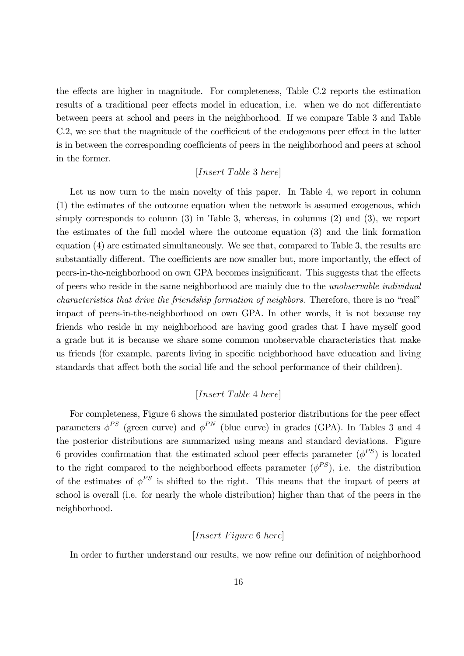the effects are higher in magnitude. For completeness, Table C.2 reports the estimation results of a traditional peer effects model in education, i.e. when we do not differentiate between peers at school and peers in the neighborhood. If we compare Table 3 and Table C.2, we see that the magnitude of the coefficient of the endogenous peer effect in the latter is in between the corresponding coefficients of peers in the neighborhood and peers at school in the former.

### $[Insert\ Table\ 3\ here]$

Let us now turn to the main novelty of this paper. In Table 4, we report in column (1) the estimates of the outcome equation when the network is assumed exogenous, which simply corresponds to column (3) in Table 3, whereas, in columns (2) and (3), we report the estimates of the full model where the outcome equation (3) and the link formation equation (4) are estimated simultaneously. We see that, compared to Table 3, the results are substantially different. The coefficients are now smaller but, more importantly, the effect of peers-in-the-neighborhood on own GPA becomes insignificant. This suggests that the effects of peers who reside in the same neighborhood are mainly due to the unobservable individual characteristics that drive the friendship formation of neighbors. Therefore, there is no "real" impact of peers-in-the-neighborhood on own GPA. In other words, it is not because my friends who reside in my neighborhood are having good grades that I have myself good a grade but it is because we share some common unobservable characteristics that make us friends (for example, parents living in specific neighborhood have education and living standards that affect both the social life and the school performance of their children).

### $[Insert\ Table\ 4\ here]$

For completeness, Figure 6 shows the simulated posterior distributions for the peer effect parameters  $\phi^{PS}$  (green curve) and  $\phi^{PN}$  (blue curve) in grades (GPA). In Tables 3 and 4 the posterior distributions are summarized using means and standard deviations. Figure 6 provides confirmation that the estimated school peer effects parameter  $(\phi^{PS})$  is located to the right compared to the neighborhood effects parameter  $(\phi^{PS})$ , i.e. the distribution of the estimates of  $\phi^{PS}$  is shifted to the right. This means that the impact of peers at school is overall (i.e. for nearly the whole distribution) higher than that of the peers in the neighborhood.

### $[Insert \; Figure \; 6 \; here]$

In order to further understand our results, we now refine our definition of neighborhood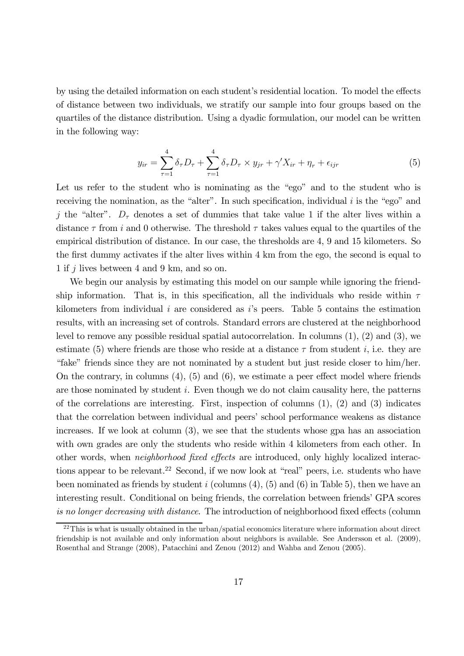by using the detailed information on each student's residential location. To model the effects of distance between two individuals, we stratify our sample into four groups based on the quartiles of the distance distribution. Using a dyadic formulation, our model can be written in the following way:

$$
y_{ir} = \sum_{\tau=1}^{4} \delta_{\tau} D_{\tau} + \sum_{\tau=1}^{4} \delta_{\tau} D_{\tau} \times y_{jr} + \gamma' X_{ir} + \eta_{r} + \epsilon_{ijr}
$$
(5)

Let us refer to the student who is nominating as the "ego" and to the student who is receiving the nomination, as the "alter". In such specification, individual  $i$  is the "ego" and j the "alter".  $D_{\tau}$  denotes a set of dummies that take value 1 if the alter lives within a distance  $\tau$  from *i* and 0 otherwise. The threshold  $\tau$  takes values equal to the quartiles of the empirical distribution of distance. In our case, the thresholds are 4, 9 and 15 kilometers. So the first dummy activates if the alter lives within 4 km from the ego, the second is equal to 1 if  $j$  lives between 4 and 9 km, and so on.

We begin our analysis by estimating this model on our sample while ignoring the friendship information. That is, in this specification, all the individuals who reside within  $\tau$ kilometers from individual  $i$  are considered as  $i$ 's peers. Table 5 contains the estimation results, with an increasing set of controls. Standard errors are clustered at the neighborhood level to remove any possible residual spatial autocorrelation. In columns (1), (2) and (3), we estimate (5) where friends are those who reside at a distance  $\tau$  from student *i*, i.e. they are "fake" friends since they are not nominated by a student but just reside closer to him/her. On the contrary, in columns  $(4)$ ,  $(5)$  and  $(6)$ , we estimate a peer effect model where friends are those nominated by student  $i$ . Even though we do not claim causality here, the patterns of the correlations are interesting. First, inspection of columns  $(1)$ ,  $(2)$  and  $(3)$  indicates that the correlation between individual and peers' school performance weakens as distance increases. If we look at column (3), we see that the students whose gpa has an association with own grades are only the students who reside within 4 kilometers from each other. In other words, when neighborhood fixed effects are introduced, only highly localized interactions appear to be relevant.<sup>22</sup> Second, if we now look at "real" peers, i.e. students who have been nominated as friends by student  $i$  (columns  $(4)$ ,  $(5)$  and  $(6)$  in Table 5), then we have an interesting result. Conditional on being friends, the correlation between friends' GPA scores is no longer decreasing with distance. The introduction of neighborhood fixed effects (column

 $22$ This is what is usually obtained in the urban/spatial economics literature where information about direct friendship is not available and only information about neighbors is available. See Andersson et al. (2009), Rosenthal and Strange (2008), Patacchini and Zenou (2012) and Wahba and Zenou (2005).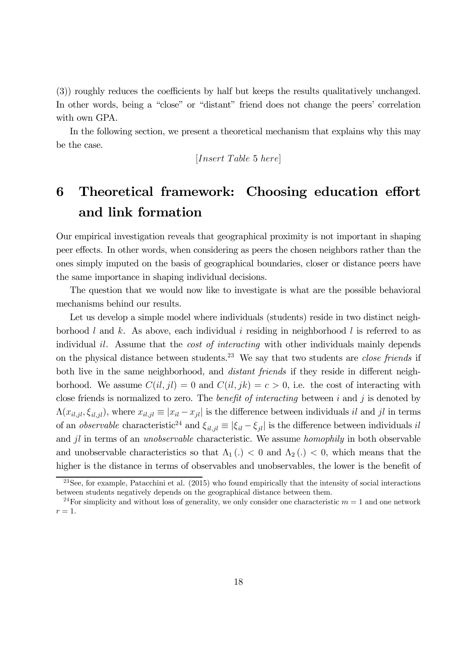(3)) roughly reduces the coefficients by half but keeps the results qualitatively unchanged. In other words, being a "close" or "distant" friend does not change the peers' correlation with own GPA.

In the following section, we present a theoretical mechanism that explains why this may be the case.

$$
[Insert\ Table\ 5\ here]
$$

# 6 Theoretical framework: Choosing education effort and link formation

Our empirical investigation reveals that geographical proximity is not important in shaping peer effects. In other words, when considering as peers the chosen neighbors rather than the ones simply imputed on the basis of geographical boundaries, closer or distance peers have the same importance in shaping individual decisions.

The question that we would now like to investigate is what are the possible behavioral mechanisms behind our results.

Let us develop a simple model where individuals (students) reside in two distinct neighborhood  $l$  and  $k$ . As above, each individual  $i$  residing in neighborhood  $l$  is referred to as individual  $il$ . Assume that the *cost of interacting* with other individuals mainly depends on the physical distance between students.<sup>23</sup> We say that two students are *close friends* if both live in the same neighborhood, and *distant friends* if they reside in different neighborhood. We assume  $C(i, jl) = 0$  and  $C(i, jk) = c > 0$ , i.e. the cost of interacting with close friends is normalized to zero. The *benefit of interacting* between  $i$  and  $j$  is denoted by  $\Lambda(x_{i l, i l}, \xi_{i l, i l})$ , where  $x_{i l, i l} \equiv |x_{i l} - x_{i l}|$  is the difference between individuals il and jl in terms of an *observable* characteristic<sup>24</sup> and  $\xi_{i,j} \equiv |\xi_{i} - \xi_{j}|\$  is the difference between individuals *il* and  $il$  in terms of an *unobservable* characteristic. We assume *homophily* in both observable and unobservable characteristics so that  $\Lambda_1(.)$   $\lt$  0 and  $\Lambda_2(.)$   $\lt$  0, which means that the higher is the distance in terms of observables and unobservables, the lower is the benefit of

 $^{23}$ See, for example, Patacchini et al. (2015) who found empirically that the intensity of social interactions between students negatively depends on the geographical distance between them.

<sup>&</sup>lt;sup>24</sup>For simplicity and without loss of generality, we only consider one characteristic  $m = 1$  and one network  $r = 1$ .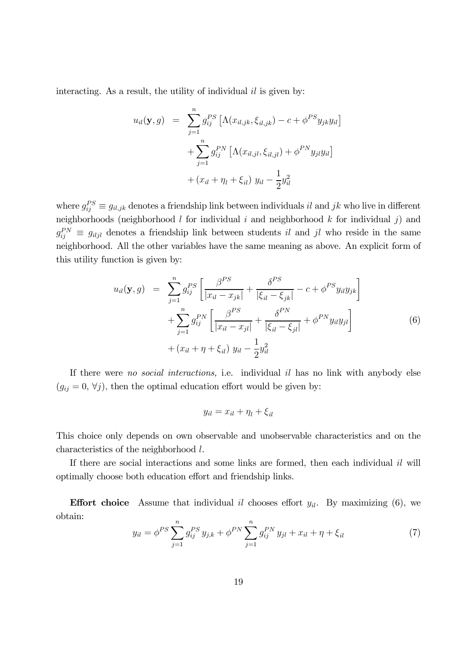interacting. As a result, the utility of individual  $il$  is given by:

$$
u_{il}(\mathbf{y}, g) = \sum_{j=1}^{n} g_{ij}^{PS} \left[ \Lambda(x_{il,jk}, \xi_{il,jk}) - c + \phi^{PS} y_{jk} y_{il} \right] + \sum_{j=1}^{n} g_{ij}^{PN} \left[ \Lambda(x_{il,jl}, \xi_{il,jl}) + \phi^{PN} y_{jl} y_{il} \right] + (x_{il} + \eta_l + \xi_{il}) y_{il} - \frac{1}{2} y_{il}^2
$$

where  $g_{ij}^{PS} \equiv g_{il,jk}$  denotes a friendship link between individuals il and  $jk$  who live in different neighborhoods (neighborhood  $l$  for individual  $i$  and neighborhood  $k$  for individual  $j$ ) and  $g_{ij}^{PN} \equiv g_{iljl}$  denotes a friendship link between students il and jl who reside in the same neighborhood. All the other variables have the same meaning as above. An explicit form of this utility function is given by:

$$
u_{il}(\mathbf{y}, g) = \sum_{j=1}^{n} g_{ij}^{PS} \left[ \frac{\beta^{PS}}{|x_{il} - x_{jk}|} + \frac{\delta^{PS}}{|\xi_{il} - \xi_{jk}|} - c + \phi^{PS} y_{il} y_{jk} \right] + \sum_{j=1}^{n} g_{ij}^{PN} \left[ \frac{\beta^{PS}}{|x_{il} - x_{jl}|} + \frac{\delta^{PN}}{|\xi_{il} - \xi_{jl}|} + \phi^{PN} y_{il} y_{jl} \right] + (x_{il} + \eta + \xi_{il}) y_{il} - \frac{1}{2} y_{il}^{2}
$$
 (6)

If there were no social interactions, i.e. individual  $il$  has no link with anybody else  $(g_{ij} = 0, \forall j)$ , then the optimal education effort would be given by:

$$
y_{il} = x_{il} + \eta_l + \xi_{il}
$$

This choice only depends on own observable and unobservable characteristics and on the characteristics of the neighborhood  $l$ .

If there are social interactions and some links are formed, then each individual  $il$  will optimally choose both education effort and friendship links.

**Effort choice** Assume that individual il chooses effort  $y_{il}$ . By maximizing (6), we obtain:

$$
y_{il} = \phi^{PS} \sum_{j=1}^{n} g_{ij}^{PS} y_{j,k} + \phi^{PN} \sum_{j=1}^{n} g_{ij}^{PN} y_{jl} + x_{il} + \eta + \xi_{il}
$$
 (7)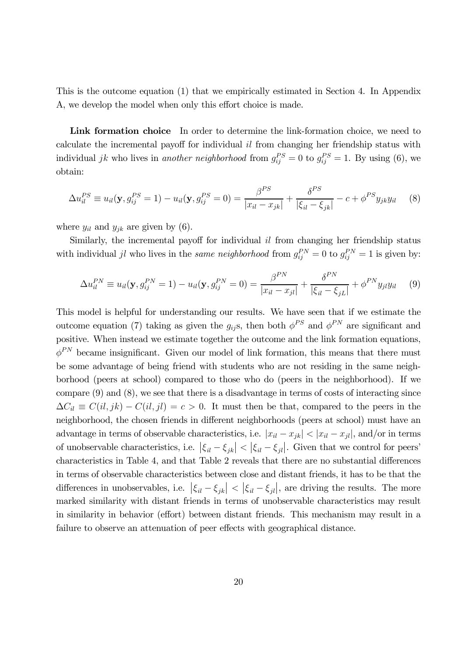This is the outcome equation (1) that we empirically estimated in Section 4. In Appendix A, we develop the model when only this effort choice is made.

Link formation choice In order to determine the link-formation choice, we need to calculate the incremental payoff for individual  $il$  from changing her friendship status with individual *jk* who lives in another neighborhood from  $g_{ij}^{PS} = 0$  to  $g_{ij}^{PS} = 1$ . By using (6), we obtain:

$$
\Delta u_{il}^{PS} \equiv u_{il}(\mathbf{y}, g_{ij}^{PS} = 1) - u_{il}(\mathbf{y}, g_{ij}^{PS} = 0) = \frac{\beta^{PS}}{|x_{il} - x_{jk}|} + \frac{\delta^{PS}}{|\xi_{il} - \xi_{jk}|} - c + \phi^{PS} y_{jk} y_{il} \tag{8}
$$

where  $y_{il}$  and  $y_{jk}$  are given by (6).

Similarly, the incremental payoff for individual  $il$  from changing her friendship status with individual jl who lives in the *same neighborhood* from  $g_{ij}^{PN} = 0$  to  $g_{ij}^{PN} = 1$  is given by:

$$
\Delta u_{il}^{PN} \equiv u_{il}(\mathbf{y}, g_{ij}^{PN} = 1) - u_{il}(\mathbf{y}, g_{ij}^{PN} = 0) = \frac{\beta^{PN}}{|x_{il} - x_{jl}|} + \frac{\delta^{PN}}{|\xi_{il} - \xi_{jL}|} + \phi^{PN} y_{jl} y_{il}
$$
(9)

This model is helpful for understanding our results. We have seen that if we estimate the outcome equation (7) taking as given the  $g_{ij}$ s, then both  $\phi^{PS}$  and  $\phi^{PN}$  are significant and positive. When instead we estimate together the outcome and the link formation equations,  $\phi^{PN}$  became insignificant. Given our model of link formation, this means that there must be some advantage of being friend with students who are not residing in the same neighborhood (peers at school) compared to those who do (peers in the neighborhood). If we compare (9) and (8), we see that there is a disadvantage in terms of costs of interacting since  $\Delta C_{il} \equiv C(il, jk) - C(il, jl) = c > 0$ . It must then be that, compared to the peers in the neighborhood, the chosen friends in different neighborhoods (peers at school) must have an advantage in terms of observable characteristics, i.e.  $|x_{il} - x_{jk}| < |x_{il} - x_{jl}|$ , and/or in terms of unobservable characteristics, i.e.  $|\xi_{il} - \xi_{jk}| < |\xi_{il} - \xi_{jl}|$ . Given that we control for peers' characteristics in Table 4, and that Table 2 reveals that there are no substantial differences in terms of observable characteristics between close and distant friends, it has to be that the differences in unobservables, i.e.  $|\xi_{il} - \xi_{jk}| < |\xi_{il} - \xi_{jl}|$ , are driving the results. The more marked similarity with distant friends in terms of unobservable characteristics may result in similarity in behavior (effort) between distant friends. This mechanism may result in a failure to observe an attenuation of peer effects with geographical distance.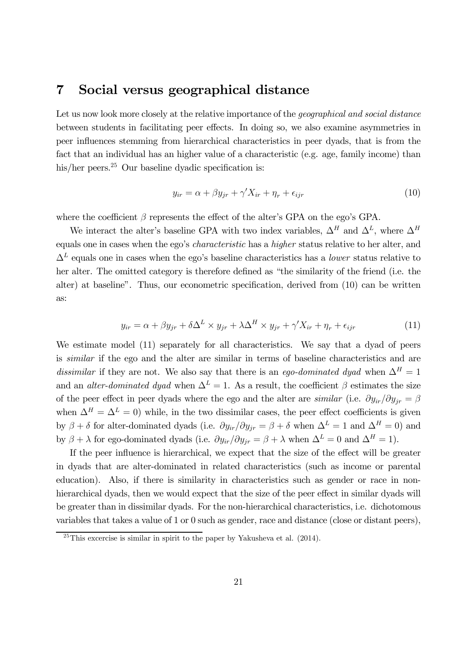## 7 Social versus geographical distance

Let us now look more closely at the relative importance of the *geographical and social distance* between students in facilitating peer effects. In doing so, we also examine asymmetries in peer influences stemming from hierarchical characteristics in peer dyads, that is from the fact that an individual has an higher value of a characteristic (e.g. age, family income) than his/her peers.<sup>25</sup> Our baseline dyadic specification is:

$$
y_{ir} = \alpha + \beta y_{jr} + \gamma' X_{ir} + \eta_r + \epsilon_{ijr}
$$
\n<sup>(10)</sup>

where the coefficient  $\beta$  represents the effect of the alter's GPA on the ego's GPA.

We interact the alter's baseline GPA with two index variables,  $\Delta^H$  and  $\Delta^L$ , where  $\Delta^H$ equals one in cases when the ego's characteristic has a higher status relative to her alter, and  $\Delta^L$  equals one in cases when the ego's baseline characteristics has a *lower* status relative to her alter. The omitted category is therefore defined as "the similarity of the friend (i.e. the alter) at baseline". Thus, our econometric specification, derived from (10) can be written as:

$$
y_{ir} = \alpha + \beta y_{jr} + \delta \Delta^L \times y_{jr} + \lambda \Delta^H \times y_{jr} + \gamma' X_{ir} + \eta_r + \epsilon_{ijr}
$$
 (11)

We estimate model (11) separately for all characteristics. We say that a dyad of peers is similar if the ego and the alter are similar in terms of baseline characteristics and are dissimilar if they are not. We also say that there is an ego-dominated dyad when  $\Delta^H = 1$ and an *alter-dominated dyad* when  $\Delta^L = 1$ . As a result, the coefficient  $\beta$  estimates the size of the peer effect in peer dyads where the ego and the alter are *similar* (i.e.  $\partial y_{ir}/\partial y_{ir} = \beta$ when  $\Delta^H = \Delta^L = 0$ ) while, in the two dissimilar cases, the peer effect coefficients is given by  $\beta + \delta$  for alter-dominated dyads (i.e.  $\partial y_{ir}/\partial y_{jr} = \beta + \delta$  when  $\Delta^L = 1$  and  $\Delta^H = 0$ ) and by  $\beta + \lambda$  for ego-dominated dyads (i.e.  $\partial y_{ir}/\partial y_{jr} = \beta + \lambda$  when  $\Delta^L = 0$  and  $\Delta^H = 1$ ).

If the peer influence is hierarchical, we expect that the size of the effect will be greater in dyads that are alter-dominated in related characteristics (such as income or parental education). Also, if there is similarity in characteristics such as gender or race in nonhierarchical dyads, then we would expect that the size of the peer effect in similar dyads will be greater than in dissimilar dyads. For the non-hierarchical characteristics, i.e. dichotomous variables that takes a value of 1 or 0 such as gender, race and distance (close or distant peers),

 $^{25}$ This excercise is similar in spirit to the paper by Yakusheva et al. (2014).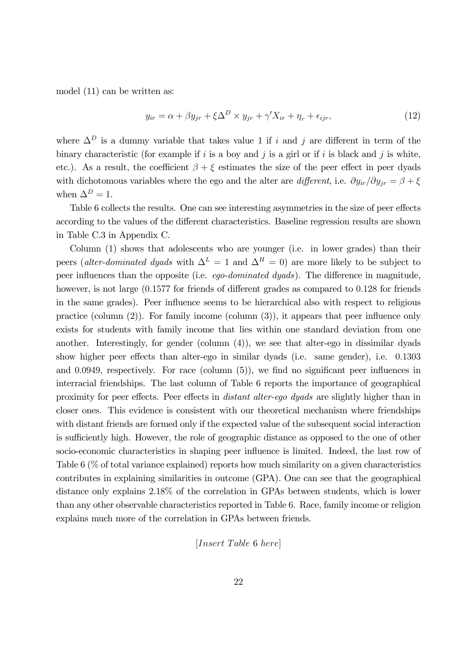model (11) can be written as:

$$
y_{ir} = \alpha + \beta y_{jr} + \xi \Delta^D \times y_{jr} + \gamma' X_{ir} + \eta_r + \epsilon_{ijr},\tag{12}
$$

where  $\Delta^D$  is a dummy variable that takes value 1 if *i* and *j* are different in term of the binary characteristic (for example if  $i$  is a boy and  $j$  is a girl or if  $i$  is black and  $j$  is white, etc.). As a result, the coefficient  $\beta + \xi$  estimates the size of the peer effect in peer dyads with dichotomous variables where the ego and the alter are different, i.e.  $\partial y_{ir}/\partial y_{jr} = \beta + \xi$ when  $\Delta^D = 1$ .

Table 6 collects the results. One can see interesting asymmetries in the size of peer effects according to the values of the different characteristics. Baseline regression results are shown in Table C.3 in Appendix C.

Column (1) shows that adolescents who are younger (i.e. in lower grades) than their peers (alter-dominated dyads with  $\Delta^L = 1$  and  $\Delta^H = 0$ ) are more likely to be subject to peer influences than the opposite (i.e. ego-dominated dyads). The difference in magnitude, however, is not large  $(0.1577$  for friends of different grades as compared to 0.128 for friends in the same grades). Peer influence seems to be hierarchical also with respect to religious practice (column (2)). For family income (column (3)), it appears that peer influence only exists for students with family income that lies within one standard deviation from one another. Interestingly, for gender (column (4)), we see that alter-ego in dissimilar dyads show higher peer effects than alter-ego in similar dyads (i.e. same gender), i.e. 01303 and  $0.0949$ , respectively. For race (column  $(5)$ ), we find no significant peer influences in interracial friendships. The last column of Table 6 reports the importance of geographical proximity for peer effects. Peer effects in distant alter-ego dyads are slightly higher than in closer ones. This evidence is consistent with our theoretical mechanism where friendships with distant friends are formed only if the expected value of the subsequent social interaction is sufficiently high. However, the role of geographic distance as opposed to the one of other socio-economic characteristics in shaping peer influence is limited. Indeed, the last row of Table 6 (% of total variance explained) reports how much similarity on a given characteristics contributes in explaining similarities in outcome (GPA). One can see that the geographical distance only explains 2.18% of the correlation in GPAs between students, which is lower than any other observable characteristics reported in Table 6. Race, family income or religion explains much more of the correlation in GPAs between friends.

 $[Insert\ Table\ 6\ here]$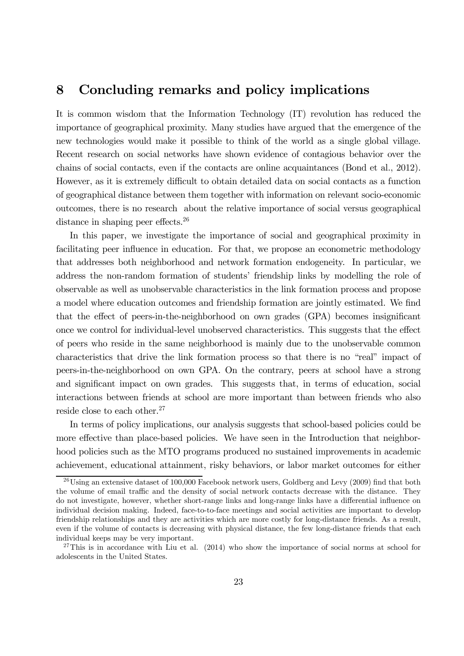## 8 Concluding remarks and policy implications

It is common wisdom that the Information Technology (IT) revolution has reduced the importance of geographical proximity. Many studies have argued that the emergence of the new technologies would make it possible to think of the world as a single global village. Recent research on social networks have shown evidence of contagious behavior over the chains of social contacts, even if the contacts are online acquaintances (Bond et al., 2012). However, as it is extremely difficult to obtain detailed data on social contacts as a function of geographical distance between them together with information on relevant socio-economic outcomes, there is no research about the relative importance of social versus geographical distance in shaping peer effects.<sup>26</sup>

In this paper, we investigate the importance of social and geographical proximity in facilitating peer influence in education. For that, we propose an econometric methodology that addresses both neighborhood and network formation endogeneity. In particular, we address the non-random formation of students' friendship links by modelling the role of observable as well as unobservable characteristics in the link formation process and propose a model where education outcomes and friendship formation are jointly estimated. We find that the effect of peers-in-the-neighborhood on own grades (GPA) becomes insignificant once we control for individual-level unobserved characteristics. This suggests that the effect of peers who reside in the same neighborhood is mainly due to the unobservable common characteristics that drive the link formation process so that there is no "real" impact of peers-in-the-neighborhood on own GPA. On the contrary, peers at school have a strong and significant impact on own grades. This suggests that, in terms of education, social interactions between friends at school are more important than between friends who also reside close to each other.<sup>27</sup>

In terms of policy implications, our analysis suggests that school-based policies could be more effective than place-based policies. We have seen in the Introduction that neighborhood policies such as the MTO programs produced no sustained improvements in academic achievement, educational attainment, risky behaviors, or labor market outcomes for either

 $^{26}$ Using an extensive dataset of 100,000 Facebook network users, Goldberg and Levy (2009) find that both the volume of email traffic and the density of social network contacts decrease with the distance. They do not investigate, however, whether short-range links and long-range links have a differential influence on individual decision making. Indeed, face-to-to-face meetings and social activities are important to develop friendship relationships and they are activities which are more costly for long-distance friends. As a result, even if the volume of contacts is decreasing with physical distance, the few long-distance friends that each individual keeps may be very important.

<sup>&</sup>lt;sup>27</sup>This is in accordance with Liu et al.  $(2014)$  who show the importance of social norms at school for adolescents in the United States.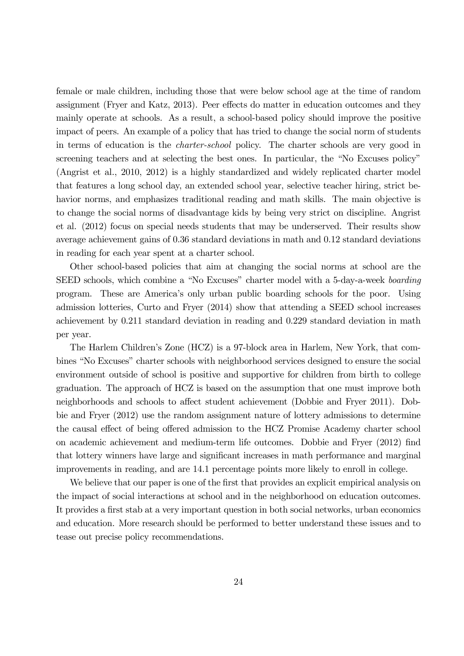female or male children, including those that were below school age at the time of random assignment (Fryer and Katz, 2013). Peer effects do matter in education outcomes and they mainly operate at schools. As a result, a school-based policy should improve the positive impact of peers. An example of a policy that has tried to change the social norm of students in terms of education is the charter-school policy. The charter schools are very good in screening teachers and at selecting the best ones. In particular, the "No Excuses policy" (Angrist et al., 2010, 2012) is a highly standardized and widely replicated charter model that features a long school day, an extended school year, selective teacher hiring, strict behavior norms, and emphasizes traditional reading and math skills. The main objective is to change the social norms of disadvantage kids by being very strict on discipline. Angrist et al. (2012) focus on special needs students that may be underserved. Their results show average achievement gains of 0.36 standard deviations in math and 0.12 standard deviations in reading for each year spent at a charter school.

Other school-based policies that aim at changing the social norms at school are the SEED schools, which combine a "No Excuses" charter model with a 5-day-a-week boarding program. These are America's only urban public boarding schools for the poor. Using admission lotteries, Curto and Fryer (2014) show that attending a SEED school increases achievement by 0.211 standard deviation in reading and 0.229 standard deviation in math per year.

The Harlem Children's Zone (HCZ) is a 97-block area in Harlem, New York, that combines "No Excuses" charter schools with neighborhood services designed to ensure the social environment outside of school is positive and supportive for children from birth to college graduation. The approach of HCZ is based on the assumption that one must improve both neighborhoods and schools to affect student achievement (Dobbie and Fryer 2011). Dobbie and Fryer (2012) use the random assignment nature of lottery admissions to determine the causal effect of being offered admission to the HCZ Promise Academy charter school on academic achievement and medium-term life outcomes. Dobbie and Fryer (2012) find that lottery winners have large and significant increases in math performance and marginal improvements in reading, and are 14.1 percentage points more likely to enroll in college.

We believe that our paper is one of the first that provides an explicit empirical analysis on the impact of social interactions at school and in the neighborhood on education outcomes. It provides a first stab at a very important question in both social networks, urban economics and education. More research should be performed to better understand these issues and to tease out precise policy recommendations.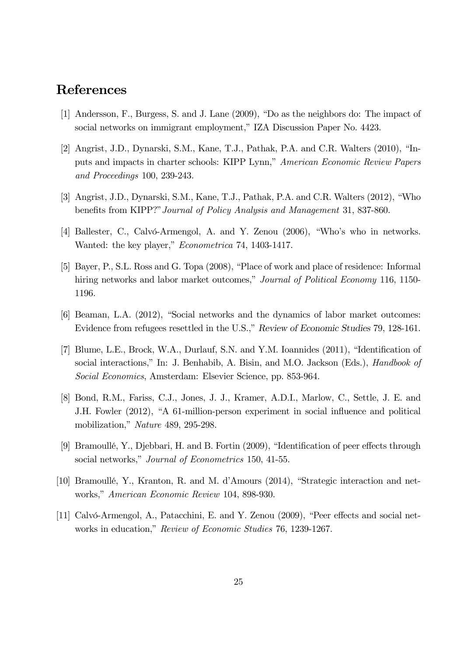## References

- [1] Andersson, F., Burgess, S. and J. Lane (2009), "Do as the neighbors do: The impact of social networks on immigrant employment," IZA Discussion Paper No. 4423.
- [2] Angrist, J.D., Dynarski, S.M., Kane, T.J., Pathak, P.A. and C.R. Walters (2010), "Inputs and impacts in charter schools: KIPP Lynn," American Economic Review Papers and Proceedings 100, 239-243.
- [3] Angrist, J.D., Dynarski, S.M., Kane, T.J., Pathak, P.A. and C.R. Walters (2012), "Who benefits from KIPP?"Journal of Policy Analysis and Management 31, 837-860.
- [4] Ballester, C., Calvó-Armengol, A. and Y. Zenou (2006), "Who's who in networks. Wanted: the key player," Econometrica 74, 1403-1417.
- [5] Bayer, P., S.L. Ross and G. Topa (2008), "Place of work and place of residence: Informal hiring networks and labor market outcomes," Journal of Political Economy 116, 1150-1196.
- [6] Beaman, L.A. (2012), "Social networks and the dynamics of labor market outcomes: Evidence from refugees resettled in the U.S.," Review of Economic Studies 79, 128-161.
- [7] Blume, L.E., Brock, W.A., Durlauf, S.N. and Y.M. Ioannides (2011), "Identification of social interactions," In: J. Benhabib, A. Bisin, and M.O. Jackson (Eds.), Handbook of Social Economics, Amsterdam: Elsevier Science, pp. 853-964.
- [8] Bond, R.M., Fariss, C.J., Jones, J. J., Kramer, A.D.I., Marlow, C., Settle, J. E. and J.H. Fowler (2012), "A 61-million-person experiment in social influence and political mobilization," Nature 489, 295-298.
- [9] Bramoullé, Y., Djebbari, H. and B. Fortin (2009), "Identification of peer effects through social networks," *Journal of Econometrics* 150, 41-55.
- [10] Bramoullé, Y., Kranton, R. and M. d'Amours (2014), "Strategic interaction and networks," American Economic Review 104, 898-930.
- [11] Calvó-Armengol, A., Patacchini, E. and Y. Zenou (2009), "Peer effects and social networks in education," Review of Economic Studies 76, 1239-1267.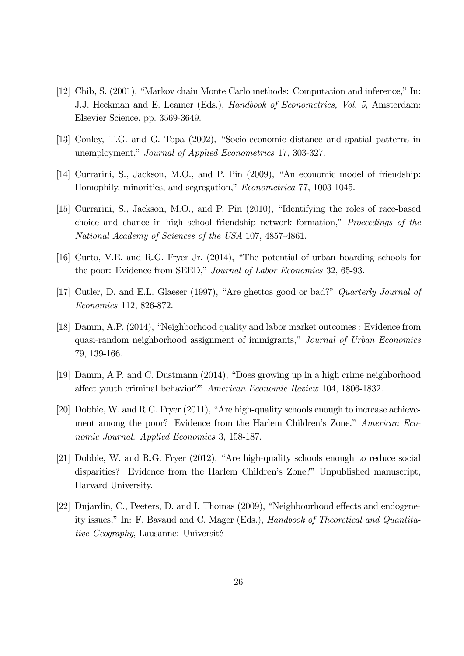- [12] Chib, S. (2001), "Markov chain Monte Carlo methods: Computation and inference," In: J.J. Heckman and E. Leamer (Eds.), Handbook of Econometrics, Vol. 5, Amsterdam: Elsevier Science, pp. 3569-3649.
- [13] Conley, T.G. and G. Topa (2002), "Socio-economic distance and spatial patterns in unemployment," Journal of Applied Econometrics 17, 303-327.
- [14] Currarini, S., Jackson, M.O., and P. Pin (2009), "An economic model of friendship: Homophily, minorities, and segregation," Econometrica 77, 1003-1045.
- [15] Currarini, S., Jackson, M.O., and P. Pin (2010), "Identifying the roles of race-based choice and chance in high school friendship network formation," Proceedings of the National Academy of Sciences of the USA 107, 4857-4861.
- [16] Curto, V.E. and R.G. Fryer Jr. (2014), "The potential of urban boarding schools for the poor: Evidence from SEED," Journal of Labor Economics 32, 65-93.
- [17] Cutler, D. and E.L. Glaeser (1997), "Are ghettos good or bad?" Quarterly Journal of Economics 112, 826-872.
- [18] Damm, A.P. (2014), "Neighborhood quality and labor market outcomes : Evidence from quasi-random neighborhood assignment of immigrants," Journal of Urban Economics 79, 139-166.
- [19] Damm, A.P. and C. Dustmann (2014), "Does growing up in a high crime neighborhood affect youth criminal behavior?" American Economic Review 104, 1806-1832.
- [20] Dobbie, W. and R.G. Fryer (2011), "Are high-quality schools enough to increase achievement among the poor? Evidence from the Harlem Children's Zone." American Economic Journal: Applied Economics 3, 158-187.
- [21] Dobbie, W. and R.G. Fryer (2012), "Are high-quality schools enough to reduce social disparities? Evidence from the Harlem Children's Zone?" Unpublished manuscript, Harvard University.
- [22] Dujardin, C., Peeters, D. and I. Thomas (2009), "Neighbourhood effects and endogeneity issues," In: F. Bavaud and C. Mager (Eds.), Handbook of Theoretical and Quantitative Geography, Lausanne: Université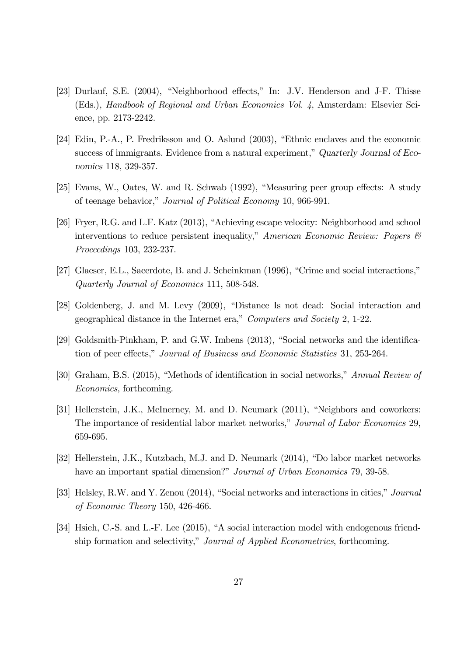- [23] Durlauf, S.E. (2004), "Neighborhood effects," In: J.V. Henderson and J-F. Thisse (Eds.), Handbook of Regional and Urban Economics Vol. 4, Amsterdam: Elsevier Science, pp. 2173-2242.
- [24] Edin, P.-A., P. Fredriksson and O. Aslund (2003), "Ethnic enclaves and the economic success of immigrants. Evidence from a natural experiment," Quarterly Journal of Economics 118, 329-357.
- [25] Evans, W., Oates, W. and R. Schwab (1992), "Measuring peer group effects: A study of teenage behavior," Journal of Political Economy 10, 966-991.
- [26] Fryer, R.G. and L.F. Katz (2013), "Achieving escape velocity: Neighborhood and school interventions to reduce persistent inequality," American Economic Review: Papers & Proceedings 103, 232-237.
- [27] Glaeser, E.L., Sacerdote, B. and J. Scheinkman (1996), "Crime and social interactions," Quarterly Journal of Economics 111, 508-548.
- [28] Goldenberg, J. and M. Levy (2009), "Distance Is not dead: Social interaction and geographical distance in the Internet era," Computers and Society 2, 1-22.
- [29] Goldsmith-Pinkham, P. and G.W. Imbens (2013), "Social networks and the identification of peer effects," Journal of Business and Economic Statistics 31, 253-264.
- [30] Graham, B.S. (2015), "Methods of identification in social networks," Annual Review of Economics, forthcoming.
- [31] Hellerstein, J.K., McInerney, M. and D. Neumark (2011), "Neighbors and coworkers: The importance of residential labor market networks," Journal of Labor Economics 29, 659-695.
- [32] Hellerstein, J.K., Kutzbach, M.J. and D. Neumark (2014), "Do labor market networks have an important spatial dimension?" *Journal of Urban Economics* 79, 39-58.
- [33] Helsley, R.W. and Y. Zenou (2014), "Social networks and interactions in cities," Journal of Economic Theory 150, 426-466.
- [34] Hsieh, C.-S. and L.-F. Lee (2015), "A social interaction model with endogenous friendship formation and selectivity," Journal of Applied Econometrics, forthcoming.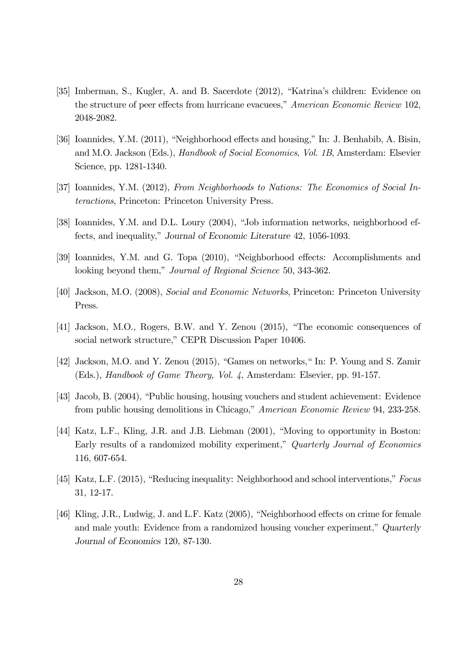- [35] Imberman, S., Kugler, A. and B. Sacerdote (2012), "Katrina's children: Evidence on the structure of peer effects from hurricane evacuees," American Economic Review 102, 2048-2082.
- [36] Ioannides, Y.M. (2011), "Neighborhood effects and housing," In: J. Benhabib, A. Bisin, and M.O. Jackson (Eds.), Handbook of Social Economics, Vol. 1B, Amsterdam: Elsevier Science, pp. 1281-1340.
- [37] Ioannides, Y.M. (2012), From Neighborhoods to Nations: The Economics of Social Interactions, Princeton: Princeton University Press.
- [38] Ioannides, Y.M. and D.L. Loury (2004), "Job information networks, neighborhood effects, and inequality," Journal of Economic Literature 42, 1056-1093.
- [39] Ioannides, Y.M. and G. Topa (2010), "Neighborhood effects: Accomplishments and looking beyond them," Journal of Regional Science 50, 343-362.
- [40] Jackson, M.O. (2008), Social and Economic Networks, Princeton: Princeton University Press.
- [41] Jackson, M.O., Rogers, B.W. and Y. Zenou (2015), "The economic consequences of social network structure," CEPR Discussion Paper 10406.
- [42] Jackson, M.O. and Y. Zenou (2015), "Games on networks," In: P. Young and S. Zamir (Eds.), Handbook of Game Theory, Vol. 4, Amsterdam: Elsevier, pp. 91-157.
- [43] Jacob, B. (2004), "Public housing, housing vouchers and student achievement: Evidence from public housing demolitions in Chicago," American Economic Review 94, 233-258.
- [44] Katz, L.F., Kling, J.R. and J.B. Liebman (2001), "Moving to opportunity in Boston: Early results of a randomized mobility experiment," Quarterly Journal of Economics 116, 607-654.
- [45] Katz, L.F. (2015), "Reducing inequality: Neighborhood and school interventions," Focus 31, 12-17.
- [46] Kling, J.R., Ludwig, J. and L.F. Katz (2005), "Neighborhood effects on crime for female and male youth: Evidence from a randomized housing voucher experiment," Quarterly Journal of Economics 120, 87-130.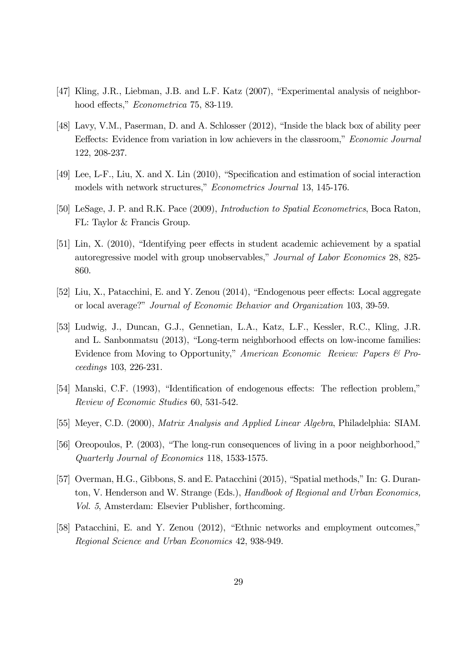- [47] Kling, J.R., Liebman, J.B. and L.F. Katz (2007), "Experimental analysis of neighborhood effects," Econometrica 75, 83-119.
- [48] Lavy, V.M., Paserman, D. and A. Schlosser (2012), "Inside the black box of ability peer Eeffects: Evidence from variation in low achievers in the classroom," Economic Journal 122, 208-237.
- [49] Lee, L-F., Liu, X. and X. Lin (2010), "Specification and estimation of social interaction models with network structures," Econometrics Journal 13, 145-176.
- [50] LeSage, J. P. and R.K. Pace (2009), Introduction to Spatial Econometrics, Boca Raton, FL: Taylor & Francis Group.
- [51] Lin, X. (2010), "Identifying peer effects in student academic achievement by a spatial autoregressive model with group unobservables," Journal of Labor Economics 28, 825- 860.
- [52] Liu, X., Patacchini, E. and Y. Zenou (2014), "Endogenous peer effects: Local aggregate or local average?" Journal of Economic Behavior and Organization 103, 39-59.
- [53] Ludwig, J., Duncan, G.J., Gennetian, L.A., Katz, L.F., Kessler, R.C., Kling, J.R. and L. Sanbonmatsu (2013), "Long-term neighborhood effects on low-income families: Evidence from Moving to Opportunity," American Economic Review: Papers & Proceedings 103, 226-231.
- [54] Manski, C.F. (1993), "Identification of endogenous effects: The reflection problem," Review of Economic Studies 60, 531-542.
- [55] Meyer, C.D. (2000), Matrix Analysis and Applied Linear Algebra, Philadelphia: SIAM.
- [56] Oreopoulos, P. (2003), "The long-run consequences of living in a poor neighborhood," Quarterly Journal of Economics 118, 1533-1575.
- [57] Overman, H.G., Gibbons, S. and E. Patacchini (2015), "Spatial methods," In: G. Duranton, V. Henderson and W. Strange (Eds.), Handbook of Regional and Urban Economics, Vol. 5, Amsterdam: Elsevier Publisher, forthcoming.
- [58] Patacchini, E. and Y. Zenou (2012), "Ethnic networks and employment outcomes," Regional Science and Urban Economics 42, 938-949.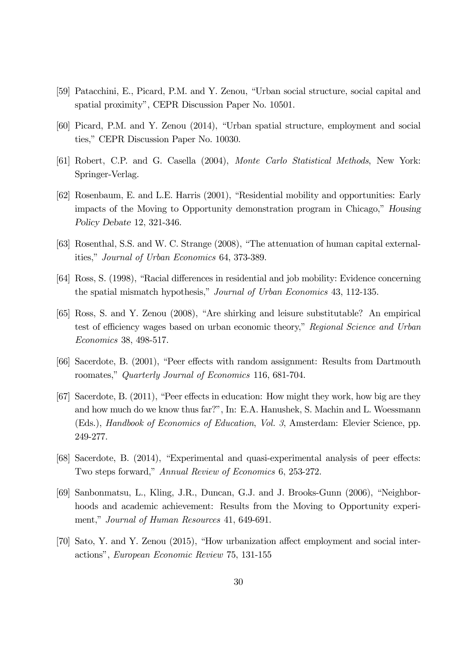- [59] Patacchini, E., Picard, P.M. and Y. Zenou, "Urban social structure, social capital and spatial proximity", CEPR Discussion Paper No. 10501.
- [60] Picard, P.M. and Y. Zenou (2014), "Urban spatial structure, employment and social ties," CEPR Discussion Paper No. 10030.
- [61] Robert, C.P. and G. Casella (2004), Monte Carlo Statistical Methods, New York: Springer-Verlag.
- [62] Rosenbaum, E. and L.E. Harris (2001), "Residential mobility and opportunities: Early impacts of the Moving to Opportunity demonstration program in Chicago," Housing Policy Debate 12, 321-346.
- [63] Rosenthal, S.S. and W. C. Strange (2008), "The attenuation of human capital externalities," Journal of Urban Economics 64, 373-389.
- [64] Ross, S. (1998), "Racial differences in residential and job mobility: Evidence concerning the spatial mismatch hypothesis," Journal of Urban Economics 43, 112-135.
- [65] Ross, S. and Y. Zenou (2008), "Are shirking and leisure substitutable? An empirical test of efficiency wages based on urban economic theory," Regional Science and Urban Economics 38, 498-517.
- [66] Sacerdote, B. (2001), "Peer effects with random assignment: Results from Dartmouth roomates," Quarterly Journal of Economics 116, 681-704.
- [67] Sacerdote, B. (2011), "Peer effects in education: How might they work, how big are they and how much do we know thus far?", In: E.A. Hanushek, S. Machin and L. Woessmann (Eds.), Handbook of Economics of Education, Vol. 3, Amsterdam: Elevier Science, pp. 249-277.
- [68] Sacerdote, B. (2014), "Experimental and quasi-experimental analysis of peer effects: Two steps forward," Annual Review of Economics 6, 253-272.
- [69] Sanbonmatsu, L., Kling, J.R., Duncan, G.J. and J. Brooks-Gunn (2006), "Neighborhoods and academic achievement: Results from the Moving to Opportunity experiment," Journal of Human Resources 41, 649-691.
- [70] Sato, Y. and Y. Zenou (2015), "How urbanization affect employment and social interactions", European Economic Review 75, 131-155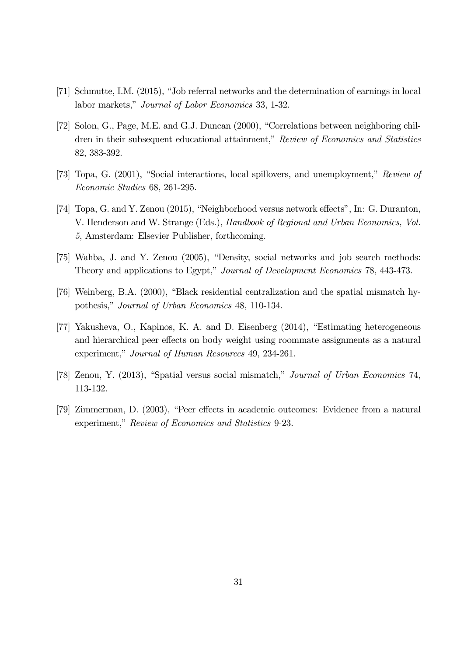- [71] Schmutte, I.M. (2015), "Job referral networks and the determination of earnings in local labor markets," Journal of Labor Economics 33, 1-32.
- [72] Solon, G., Page, M.E. and G.J. Duncan (2000), "Correlations between neighboring children in their subsequent educational attainment," Review of Economics and Statistics 82, 383-392.
- [73] Topa, G. (2001), "Social interactions, local spillovers, and unemployment," Review of Economic Studies 68, 261-295.
- [74] Topa, G. and Y. Zenou (2015), "Neighborhood versus network effects", In: G. Duranton, V. Henderson and W. Strange (Eds.), Handbook of Regional and Urban Economics, Vol. 5, Amsterdam: Elsevier Publisher, forthcoming.
- [75] Wahba, J. and Y. Zenou (2005), "Density, social networks and job search methods: Theory and applications to Egypt," Journal of Development Economics 78, 443-473.
- [76] Weinberg, B.A. (2000), "Black residential centralization and the spatial mismatch hypothesis," Journal of Urban Economics 48, 110-134.
- [77] Yakusheva, O., Kapinos, K. A. and D. Eisenberg (2014), "Estimating heterogeneous and hierarchical peer effects on body weight using roommate assignments as a natural experiment," Journal of Human Resources 49, 234-261.
- [78] Zenou, Y. (2013), "Spatial versus social mismatch," Journal of Urban Economics 74, 113-132.
- [79] Zimmerman, D. (2003), "Peer effects in academic outcomes: Evidence from a natural experiment," Review of Economics and Statistics 9-23.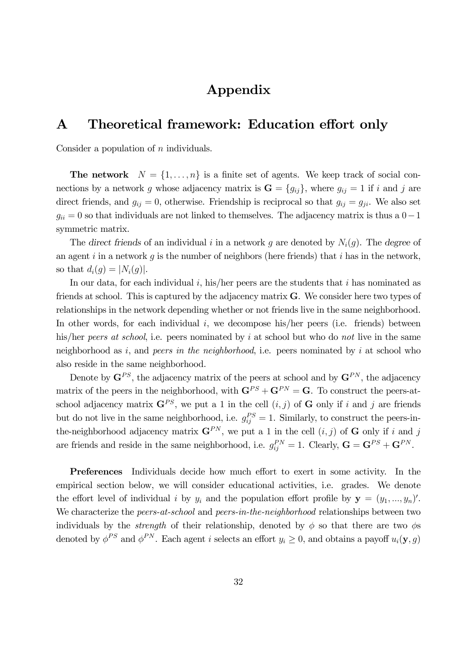## Appendix

## A Theoretical framework: Education effort only

Consider a population of  $n$  individuals.

**The network**  $N = \{1, ..., n\}$  is a finite set of agents. We keep track of social connections by a network g whose adjacency matrix is  $\mathbf{G} = \{g_{ij}\}\$ , where  $g_{ij} = 1$  if i and j are direct friends, and  $g_{ij} = 0$ , otherwise. Friendship is reciprocal so that  $g_{ij} = g_{ji}$ . We also set  $g_{ii} = 0$  so that individuals are not linked to themselves. The adjacency matrix is thus a  $0-1$ symmetric matrix.

The direct friends of an individual i in a network g are denoted by  $N_i(g)$ . The degree of an agent i in a network q is the number of neighbors (here friends) that i has in the network, so that  $d_i(q) = |N_i(q)|$ .

In our data, for each individual  $i$ , his/her peers are the students that  $i$  has nominated as friends at school. This is captured by the adjacency matrix G. We consider here two types of relationships in the network depending whether or not friends live in the same neighborhood. In other words, for each individual  $i$ , we decompose his/her peers (i.e. friends) between his/her peers at school, i.e. peers nominated by i at school but who do not live in the same neighborhood as  $i$ , and *peers in the neighborhood*, i.e. peers nominated by  $i$  at school who also reside in the same neighborhood.

Denote by  $\mathbf{G}^{PS}$ , the adjacency matrix of the peers at school and by  $\mathbf{G}^{PN}$ , the adjacency matrix of the peers in the neighborhood, with  $\mathbf{G}^{PS} + \mathbf{G}^{PN} = \mathbf{G}$ . To construct the peers-atschool adjacency matrix  $\mathbf{G}^{PS}$ , we put a 1 in the cell  $(i, j)$  of  $\mathbf{G}$  only if i and j are friends but do not live in the same neighborhood, i.e.  $g_{ij}^{PS} = 1$ . Similarly, to construct the peers-inthe-neighborhood adjacency matrix  $\mathbf{G}^{PN}$ , we put a 1 in the cell  $(i, j)$  of G only if i and j are friends and reside in the same neighborhood, i.e.  $g_{ij}^{PN} = 1$ . Clearly,  $\mathbf{G} = \mathbf{G}^{PS} + \mathbf{G}^{PN}$ .

Preferences Individuals decide how much effort to exert in some activity. In the empirical section below, we will consider educational activities, i.e. grades. We denote the effort level of individual i by  $y_i$  and the population effort profile by  $\mathbf{y} = (y_1, ..., y_n)'$ . We characterize the *peers-at-school* and *peers-in-the-neighborhood* relationships between two individuals by the *strength* of their relationship, denoted by  $\phi$  so that there are two  $\phi$ s denoted by  $\phi^{PS}$  and  $\phi^{PN}$ . Each agent *i* selects an effort  $y_i \geq 0$ , and obtains a payoff  $u_i(\mathbf{y}, g)$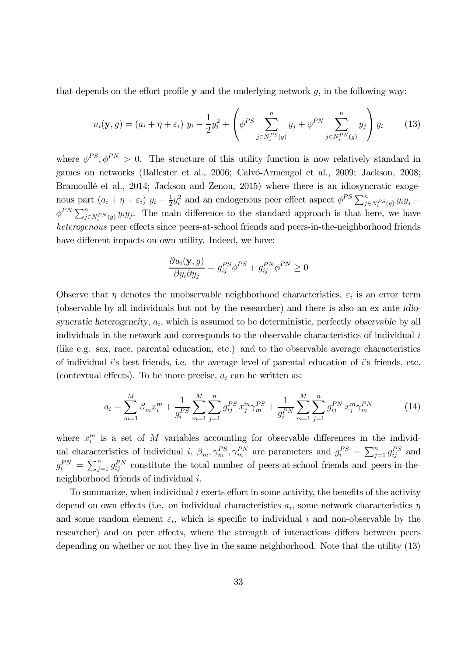that depends on the effort profile  $y$  and the underlying network  $q$ , in the following way:

$$
u_i(\mathbf{y}, g) = (a_i + \eta + \varepsilon_i) y_i - \frac{1}{2} y_i^2 + \left( \phi^{PS} \sum_{j \in N_i^{PS}(g)}^n y_j + \phi^{PN} \sum_{j \in N_i^{PN}(g)}^n y_j \right) y_i
$$
 (13)

where  $\phi^{PS}, \phi^{PN} > 0$ . The structure of this utility function is now relatively standard in games on networks (Ballester et al., 2006; Calvó-Armengol et al., 2009; Jackson, 2008; Bramoullé et al., 2014; Jackson and Zenou, 2015) where there is an idiosyncratic exogenous part  $(a_i + \eta + \varepsilon_i) y_i - \frac{1}{2} y_i^2$  and an endogenous peer effect aspect  $\phi^{PS} \sum_{j \in N_i^{PS}(g)} y_i y_j +$  $\phi^{PN} \sum_{j \in N_i^{PN}(g)} y_i y_j$ . The main difference to the standard approach is that here, we have heterogenous peer effects since peers-at-school friends and peers-in-the-neighborhood friends have different impacts on own utility. Indeed, we have:

$$
\frac{\partial u_i(\mathbf{y}, g)}{\partial y_i \partial y_j} = g_{ij}^{PS} \phi^{PS} + g_{ij}^{PN} \phi^{PN} \ge 0
$$

Observe that  $\eta$  denotes the unobservable neighborhood characteristics,  $\varepsilon_i$  is an error term (observable by all individuals but not by the researcher) and there is also an ex ante idiosyncratic heterogeneity,  $a_i$ , which is assumed to be deterministic, perfectly observable by all individuals in the network and corresponds to the observable characteristics of individual (like e.g. sex, race, parental education, etc.) and to the observable average characteristics of individual 's best friends, i.e. the average level of parental education of 's friends, etc. (contextual effects). To be more precise,  $a_i$  can be written as:

$$
a_i = \sum_{m=1}^{M} \beta_m x_i^m + \frac{1}{g_i^{PS}} \sum_{m=1}^{M} \sum_{j=1}^{n} g_{ij}^{PS} x_j^m \gamma_m^{PS} + \frac{1}{g_i^{PN}} \sum_{m=1}^{M} \sum_{j=1}^{n} g_{ij}^{PN} x_j^m \gamma_m^{PN}
$$
(14)

where  $x_i^m$  is a set of M variables accounting for observable differences in the individual characteristics of individual i,  $\beta_m, \gamma_m^{PS}, \gamma_m^{PN}$  are parameters and  $g_i^{PS} = \sum_{j=1}^n g_{ij}^{PS}$  and  $g_i^{PN} = \sum_{j=1}^n g_{ij}^{PN}$  constitute the total number of peers-at-school friends and peers-in-theneighborhood friends of individual  $i$ .

To summarize, when individual  $i$  exerts effort in some activity, the benefits of the activity depend on own effects (i.e. on individual characteristics  $a_i$ , some network characteristics  $\eta$ and some random element  $\varepsilon_i$ , which is specific to individual i and non-observable by the researcher) and on peer effects, where the strength of interactions differs between peers depending on whether or not they live in the same neighborhood. Note that the utility (13)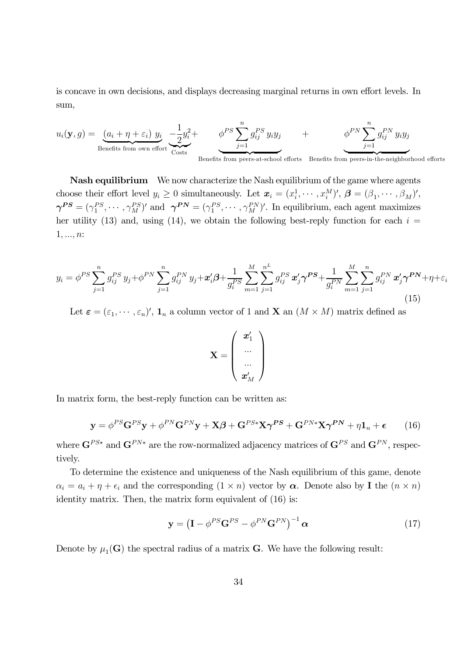is concave in own decisions, and displays decreasing marginal returns in own effort levels. In sum,

$$
u_i(\mathbf{y}, g) = \underbrace{(a_i + \eta + \varepsilon_i) y_i}_{\text{Benefits from own effort}} -\frac{1}{2}y_i^2 + \underbrace{\phi^{PS} \sum_{j=1}^n g_{ij}^{PS} y_i y_j}_{\text{Benefits from peers-at-school efforts}} + \underbrace{\phi^{PN} \sum_{j=1}^n g_{ij}^{PN} y_i y_j}_{\text{J=1}}
$$

Nash equilibrium We now characterize the Nash equilibrium of the game where agents choose their effort level  $y_i \geq 0$  simultaneously. Let  $\mathbf{x}_i = (x_i^1, \dots, x_i^M)'$ ,  $\boldsymbol{\beta} = (\beta_1, \dots, \beta_M)'$ ,  $\boldsymbol{\gamma}^{PS} = (\gamma_1^{PS}, \cdots, \gamma_M^{PS})'$  and  $\boldsymbol{\gamma}^{PN} = (\gamma_1^{PS}, \cdots, \gamma_M^{PN})'$ . In equilibrium, each agent maximizes her utility (13) and, using (14), we obtain the following best-reply function for each  $i =$  $1, ..., n$ :

$$
y_i = \phi^{PS} \sum_{j=1}^n g_{ij}^{PS} y_j + \phi^{PN} \sum_{j=1}^n g_{ij}^{PN} y_j + \boldsymbol{x}_i' \boldsymbol{\beta} + \frac{1}{g_i^{PS}} \sum_{m=1}^M \sum_{j=1}^{n^L} g_{ij}^{PS} \boldsymbol{x}_j' \boldsymbol{\gamma}^{PS} + \frac{1}{g_i^{PN}} \sum_{m=1}^M \sum_{j=1}^n g_{ij}^{PN} \boldsymbol{x}_j' \boldsymbol{\gamma}^{PN} + \eta + \varepsilon_i
$$
\n(15)

Let  $\boldsymbol{\varepsilon} = (\varepsilon_1, \cdots, \varepsilon_n)'$ ,  $\mathbf{1}_n$  a column vector of 1 and **X** an  $(M \times M)$  matrix defined as

$$
\mathbf{X} = \left(\begin{array}{c} \mathbf{\boldsymbol{x}}_1' \\ ... \\ ... \\ \mathbf{\boldsymbol{x}}_M' \end{array}\right)
$$

In matrix form, the best-reply function can be written as:

$$
\mathbf{y} = \phi^{PS} \mathbf{G}^{PS} \mathbf{y} + \phi^{PN} \mathbf{G}^{PN} \mathbf{y} + \mathbf{X}\boldsymbol{\beta} + \mathbf{G}^{PS*} \mathbf{X} \boldsymbol{\gamma}^{PS} + \mathbf{G}^{PN*} \mathbf{X} \boldsymbol{\gamma}^{PN} + \eta \mathbf{1}_n + \boldsymbol{\epsilon}
$$
 (16)

where  $\mathbf{G}^{PS*}$  and  $\mathbf{G}^{PN*}$  are the row-normalized adjacency matrices of  $\mathbf{G}^{PS}$  and  $\mathbf{G}^{PN}$ , respectively.

To determine the existence and uniqueness of the Nash equilibrium of this game, denote  $\alpha_i = a_i + \eta + \epsilon_i$  and the corresponding  $(1 \times n)$  vector by  $\alpha$ . Denote also by **I** the  $(n \times n)$ identity matrix. Then, the matrix form equivalent of  $(16)$  is:

$$
\mathbf{y} = \left(\mathbf{I} - \phi^{PS}\mathbf{G}^{PS} - \phi^{PN}\mathbf{G}^{PN}\right)^{-1}\alpha
$$
 (17)

Denote by  $\mu_1(G)$  the spectral radius of a matrix G. We have the following result: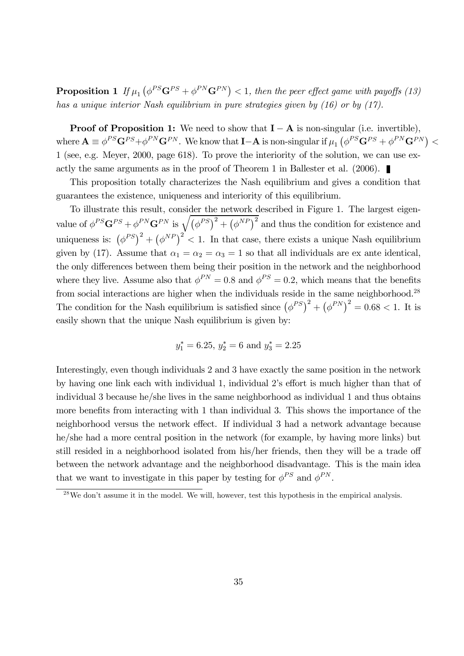**Proposition 1** If  $\mu_1\left(\phi^{PS}\mathbf{G}^{PS}+\phi^{PN}\mathbf{G}^{PN}\right) < 1$ , then the peer effect game with payoffs (13) has a unique interior Nash equilibrium in pure strategies given by (16) or by (17).

**Proof of Proposition 1:** We need to show that  $I - A$  is non-singular (i.e. invertible), where  $\mathbf{A} \equiv \phi^{PS} \mathbf{G}^{PS} + \phi^{PN} \mathbf{G}^{PN}$ . We know that **I**- $\mathbf{A}$  is non-singular if  $\mu_1 \left( \phi^{PS} \mathbf{G}^{PS} + \phi^{PN} \mathbf{G}^{PN} \right)$ 1 (see, e.g. Meyer, 2000, page 618). To prove the interiority of the solution, we can use exactly the same arguments as in the proof of Theorem 1 in Ballester et al. (2006).

This proposition totally characterizes the Nash equilibrium and gives a condition that guarantees the existence, uniqueness and interiority of this equilibrium.

To illustrate this result, consider the network described in Figure 1. The largest eigenvalue of  $\phi^{PS} \mathbf{G}^{PS} + \phi^{PN} \mathbf{G}^{PN}$  is  $\sqrt{(\phi^{PS})^2 + (\phi^{NP})^2}$  and thus the condition for existence and uniqueness is:  $(\phi^{PS})^2 + (\phi^{NP})^2 < 1$ . In that case, there exists a unique Nash equilibrium given by (17). Assume that  $\alpha_1 = \alpha_2 = \alpha_3 = 1$  so that all individuals are ex ante identical, the only differences between them being their position in the network and the neighborhood where they live. Assume also that  $\phi^{PN} = 0.8$  and  $\phi^{PS} = 0.2$ , which means that the benefits from social interactions are higher when the individuals reside in the same neighborhood.<sup>28</sup> The condition for the Nash equilibrium is satisfied since  $(\phi^{PS})^2 + (\phi^{PN})^2 = 0.68 < 1$ . It is easily shown that the unique Nash equilibrium is given by:

$$
y_1^* = 6.25
$$
,  $y_2^* = 6$  and  $y_3^* = 2.25$ 

Interestingly, even though individuals 2 and 3 have exactly the same position in the network by having one link each with individual 1, individual 2's effort is much higher than that of individual 3 because he/she lives in the same neighborhood as individual 1 and thus obtains more benefits from interacting with 1 than individual 3. This shows the importance of the neighborhood versus the network effect. If individual 3 had a network advantage because he/she had a more central position in the network (for example, by having more links) but still resided in a neighborhood isolated from his/her friends, then they will be a trade off between the network advantage and the neighborhood disadvantage. This is the main idea that we want to investigate in this paper by testing for  $\phi^{PS}$  and  $\phi^{PN}$ .

 $28$ We don't assume it in the model. We will, however, test this hypothesis in the empirical analysis.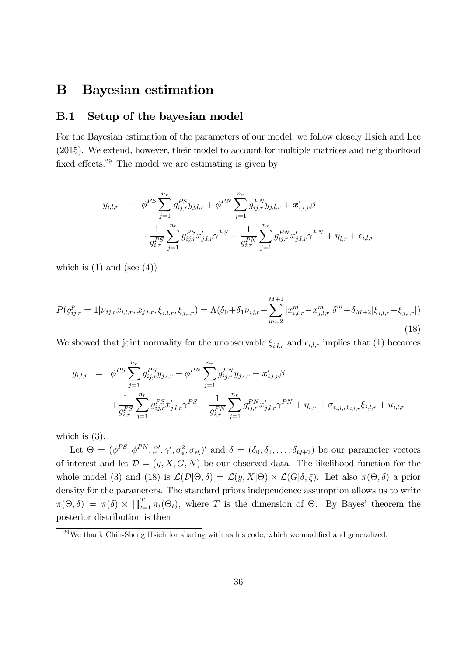## B Bayesian estimation

### B.1 Setup of the bayesian model

For the Bayesian estimation of the parameters of our model, we follow closely Hsieh and Lee (2015). We extend, however, their model to account for multiple matrices and neighborhood fixed effects.29 The model we are estimating is given by

$$
y_{i,l,r} = \phi^{PS} \sum_{j=1}^{n_r} g_{ij,r}^{PS} y_{j,l,r} + \phi^{PN} \sum_{j=1}^{n_r} g_{ij,r}^{PN} y_{j,l,r} + \mathbf{x}'_{i,l,r} \beta
$$
  
+ 
$$
\frac{1}{g_{i,r}^{PS}} \sum_{j=1}^{n_r} g_{ij,r}^{PS} x'_{j,l,r} \gamma^{PS} + \frac{1}{g_{i,r}^{PN}} \sum_{j=1}^{n_r} g_{ij,r}^{PN} x'_{j,l,r} \gamma^{PN} + \eta_{l,r} + \epsilon_{i,l,r}
$$

which is  $(1)$  and  $(\text{see } (4))$ 

$$
P(g_{ij,r}^p = 1 | \nu_{ij,r} x_{i,l,r}, x_{j,l,r}, \xi_{i,l,r}, \xi_{j,l,r}) = \Lambda(\delta_0 + \delta_1 \nu_{ij,r} + \sum_{m=2}^{M+1} |x_{i,l,r}^m - x_{j,l,r}^m| \delta^m + \delta_{M+2} |\xi_{i,l,r} - \xi_{j,l,r}|)
$$
\n(18)

We showed that joint normality for the unobservable  $\xi_{i,l,r}$  and  $\epsilon_{i,l,r}$  implies that (1) becomes

$$
y_{i,l,r} = \phi^{PS} \sum_{j=1}^{n_r} g_{ij,r}^{PS} y_{j,l,r} + \phi^{PN} \sum_{j=1}^{n_r} g_{ij,r}^{PN} y_{j,l,r} + \mathbf{x}'_{i,l,r} \beta
$$
  
+ 
$$
\frac{1}{g_{i,r}^{PS}} \sum_{j=1}^{n_r} g_{ij,r}^{PS} x'_{j,l,r} \gamma^{PS} + \frac{1}{g_{i,r}^{PN}} \sum_{j=1}^{n_r} g_{ij,r}^{PN} x'_{j,l,r} \gamma^{PN} + \eta_{l,r} + \sigma_{\epsilon_{i,l,r}\xi_{i,l,r}} \xi_{i,l,r} + u_{i,l,r}
$$

which is  $(3)$ .

Let  $\Theta = (\phi^{PS}, \phi^{PN}, \beta', \gamma', \sigma^2_{\epsilon}, \sigma_{\epsilon\xi})'$  and  $\delta = (\delta_0, \delta_1, \ldots, \delta_{Q+2})$  be our parameter vectors of interest and let  $\mathcal{D} = (y, X, G, N)$  be our observed data. The likelihood function for the whole model (3) and (18) is  $\mathcal{L}(\mathcal{D}|\Theta,\delta) = \mathcal{L}(y,X|\Theta) \times \mathcal{L}(G|\delta,\xi)$ . Let also  $\pi(\Theta,\delta)$  a prior density for the parameters. The standard priors independence assumption allows us to write  $\pi(\Theta,\delta) = \pi(\delta) \times \prod_{t=1}^T \pi_t(\Theta_t)$ , where T is the dimension of  $\Theta$ . By Bayes' theorem the posterior distribution is then

<sup>&</sup>lt;sup>29</sup>We thank Chih-Sheng Hsieh for sharing with us his code, which we modified and generalized.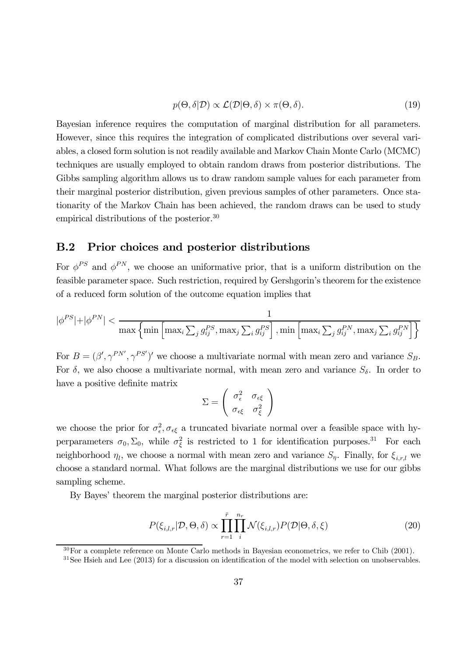$$
p(\Theta, \delta|\mathcal{D}) \propto \mathcal{L}(\mathcal{D}|\Theta, \delta) \times \pi(\Theta, \delta).
$$
 (19)

Bayesian inference requires the computation of marginal distribution for all parameters. However, since this requires the integration of complicated distributions over several variables, a closed form solution is not readily available and Markov Chain Monte Carlo (MCMC) techniques are usually employed to obtain random draws from posterior distributions. The Gibbs sampling algorithm allows us to draw random sample values for each parameter from their marginal posterior distribution, given previous samples of other parameters. Once stationarity of the Markov Chain has been achieved, the random draws can be used to study empirical distributions of the posterior.<sup>30</sup>

### B.2 Prior choices and posterior distributions

For  $\phi^{PS}$  and  $\phi^{PN}$ , we choose an uniformative prior, that is a uniform distribution on the feasible parameter space. Such restriction, required by Gershgorin's theorem for the existence of a reduced form solution of the outcome equation implies that

$$
|\phi^{PS}| + |\phi^{PN}| < \frac{1}{\max\left\{\min\left[\max_i \sum_j g_{ij}^{PS}, \max_j \sum_i g_{ij}^{PS}\right], \min\left[\max_i \sum_j g_{ij}^{PN}, \max_j \sum_i g_{ij}^{PN}\right]\right\}}
$$

For  $B = (\beta', \gamma^{PN'}, \gamma^{PS'})'$  we choose a multivariate normal with mean zero and variance  $S_B$ . For  $\delta$ , we also choose a multivariate normal, with mean zero and variance  $S_{\delta}$ . In order to have a positive definite matrix

$$
\Sigma = \left(\begin{array}{cc} \sigma_{\epsilon}^2 & \sigma_{\epsilon\xi} \\ \sigma_{\epsilon\xi} & \sigma_{\xi}^2 \end{array}\right)
$$

we choose the prior for  $\sigma_{\epsilon}^2$ ,  $\sigma_{\epsilon\xi}$  a truncated bivariate normal over a feasible space with hyperparameters  $\sigma_0$ ,  $\Sigma_0$ , while  $\sigma_{\xi}^2$  is restricted to 1 for identification purposes.<sup>31</sup> For each neighborhood  $\eta_l$ , we choose a normal with mean zero and variance  $S_{\eta}$ . Finally, for  $\xi_{i,r,l}$  we choose a standard normal. What follows are the marginal distributions we use for our gibbs sampling scheme.

By Bayes' theorem the marginal posterior distributions are:

$$
P(\xi_{i,l,r}|\mathcal{D},\Theta,\delta) \propto \prod_{r=1}^{\bar{r}} \prod_{i}^{n_r} \mathcal{N}(\xi_{i,l,r}) P(\mathcal{D}|\Theta,\delta,\xi)
$$
\n(20)

<sup>30</sup>For a complete reference on Monte Carlo methods in Bayesian econometrics, we refer to Chib (2001).

 $31$ See Hsieh and Lee (2013) for a discussion on identification of the model with selection on unobservables.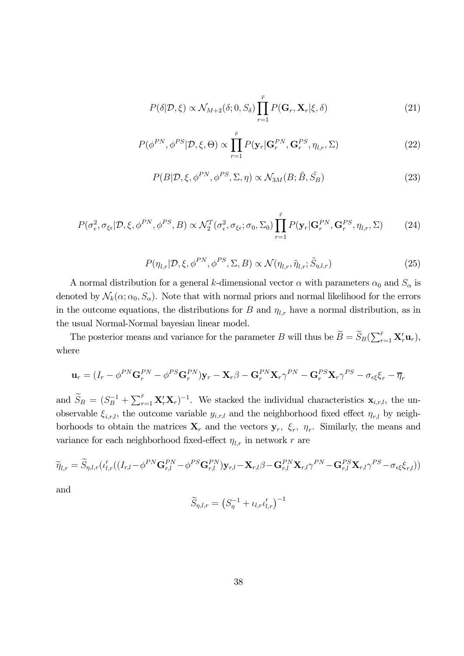$$
P(\delta|\mathcal{D}, \xi) \propto \mathcal{N}_{M+2}(\delta; 0, S_{\delta}) \prod_{r=1}^{\bar{r}} P(\mathbf{G}_r, \mathbf{X}_r | \xi, \delta)
$$
\n(21)

$$
P(\phi^{PN}, \phi^{PS} | \mathcal{D}, \xi, \Theta) \propto \prod_{r=1}^{\bar{r}} P(\mathbf{y}_r | \mathbf{G}_r^{PN}, \mathbf{G}_r^{PS}, \eta_{l,r}, \Sigma)
$$
(22)

$$
P(B|\mathcal{D}, \xi, \phi^{PN}, \phi^{PS}, \Sigma, \eta) \propto \mathcal{N}_{3M}(B; \tilde{B}, \tilde{S}_B)
$$
\n(23)

$$
P(\sigma_{\epsilon}^2, \sigma_{\xi\epsilon}|\mathcal{D}, \xi, \phi^{PN}, \phi^{PS}, B) \propto \mathcal{N}_2^T(\sigma_{\epsilon}^2, \sigma_{\xi\epsilon}; \sigma_0, \Sigma_0) \prod_{r=1}^{\bar{r}} P(\mathbf{y}_r | \mathbf{G}_r^{PN}, \mathbf{G}_r^{PS}, \eta_{l,r}, \Sigma) \tag{24}
$$

$$
P(\eta_{l,r}|\mathcal{D}, \xi, \phi^{PN}, \phi^{PS}, \Sigma, B) \propto \mathcal{N}(\eta_{l,r}, \tilde{\eta}_{l,r}; \tilde{S}_{\eta, l,r})
$$
\n(25)

A normal distribution for a general k-dimensional vector  $\alpha$  with parameters  $\alpha_0$  and  $S_\alpha$  is denoted by  $\mathcal{N}_k(\alpha; \alpha_0, S_\alpha)$ . Note that with normal priors and normal likelihood for the errors in the outcome equations, the distributions for  $B$  and  $\eta_{l,r}$  have a normal distribution, as in the usual Normal-Normal bayesian linear model.

The posterior means and variance for the parameter B will thus be  $\widetilde{B} = \widetilde{S}_B(\sum_{r=1}^{\bar{r}} \mathbf{X}_r' \mathbf{u}_r)$ , where

$$
\mathbf{u}_r = (I_r - \phi^{PN} \mathbf{G}_r^{PN} - \phi^{PS} \mathbf{G}_r^{PN}) \mathbf{y}_r - \mathbf{X}_r \beta - \mathbf{G}_r^{PN} \mathbf{X}_r \gamma^{PN} - \mathbf{G}_r^{PS} \mathbf{X}_r \gamma^{PS} - \sigma_{\epsilon\xi} \xi_r - \overline{\eta}_r
$$

and  $\widetilde{S}_B = (S_B^{-1} + \sum_{r=1}^{\bar{r}} \mathbf{X}_r' \mathbf{X}_r)^{-1}$ . We stacked the individual characteristics  $\mathbf{x}_{i,r,l}$ , the unobservable  $\xi_{i,r,l}$ , the outcome variable  $y_{i,r,l}$  and the neighborhood fixed effect  $\eta_{r,l}$  by neighborhoods to obtain the matrices  $\mathbf{X}_r$  and the vectors  $\mathbf{y}_r$ ,  $\xi_r$ ,  $\eta_r$ . Similarly, the means and variance for each neighborhood fixed-effect  $\eta_{l,r}$  in network  $r$  are

$$
\widetilde{\eta}_{l,r} = \widetilde{S}_{\eta,l,r} ( \iota'_{l,r} ((I_{r,l} - \phi^{PN} \mathbf{G}_{r,l}^{PN} - \phi^{PS} \mathbf{G}_{r,l}^{PN} ) \mathbf{y}_{r,l} - \mathbf{X}_{r,l} \beta - \mathbf{G}_{r,l}^{PN} \mathbf{X}_{r,l} \gamma^{PN} - \mathbf{G}_{r,l}^{PS} \mathbf{X}_{r,l} \gamma^{PS} - \sigma_{\epsilon\xi} \xi_{r,l} ) )
$$

and

$$
\widetilde{S}_{\eta,l,r} = \left(S_{\eta}^{-1} + \iota_{l,r}\iota'_{l,r}\right)^{-1}
$$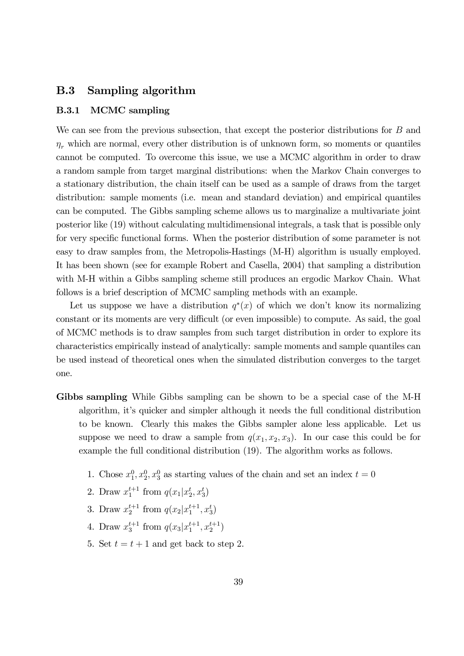### B.3 Sampling algorithm

#### B.3.1 MCMC sampling

We can see from the previous subsection, that except the posterior distributions for  $B$  and  $\eta_r$  which are normal, every other distribution is of unknown form, so moments or quantiles cannot be computed. To overcome this issue, we use a MCMC algorithm in order to draw a random sample from target marginal distributions: when the Markov Chain converges to a stationary distribution, the chain itself can be used as a sample of draws from the target distribution: sample moments (i.e. mean and standard deviation) and empirical quantiles can be computed. The Gibbs sampling scheme allows us to marginalize a multivariate joint posterior like (19) without calculating multidimensional integrals, a task that is possible only for very specific functional forms. When the posterior distribution of some parameter is not easy to draw samples from, the Metropolis-Hastings (M-H) algorithm is usually employed. It has been shown (see for example Robert and Casella, 2004) that sampling a distribution with M-H within a Gibbs sampling scheme still produces an ergodic Markov Chain. What follows is a brief description of MCMC sampling methods with an example.

Let us suppose we have a distribution  $q^*(x)$  of which we don't know its normalizing constant or its moments are very difficult (or even impossible) to compute. As said, the goal of MCMC methods is to draw samples from such target distribution in order to explore its characteristics empirically instead of analytically: sample moments and sample quantiles can be used instead of theoretical ones when the simulated distribution converges to the target one.

- Gibbs sampling While Gibbs sampling can be shown to be a special case of the M-H algorithm, it's quicker and simpler although it needs the full conditional distribution to be known. Clearly this makes the Gibbs sampler alone less applicable. Let us suppose we need to draw a sample from  $q(x_1, x_2, x_3)$ . In our case this could be for example the full conditional distribution (19). The algorithm works as follows.
	- 1. Chose  $x_1^0, x_2^0, x_3^0$  as starting values of the chain and set an index  $t = 0$
	- 2. Draw  $x_1^{t+1}$  from  $q(x_1|x_2^t, x_3^t)$
	- 3. Draw  $x_2^{t+1}$  from  $q(x_2|x_1^{t+1}, x_3^t)$
	- 4. Draw  $x_3^{t+1}$  from  $q(x_3|x_1^{t+1}, x_2^{t+1})$
	- 5. Set  $t = t + 1$  and get back to step 2.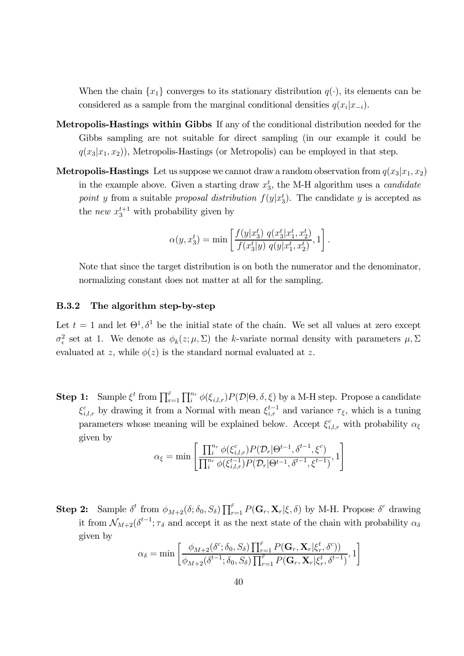When the chain  $\{x_1\}$  converges to its stationary distribution  $q(\cdot)$ , its elements can be considered as a sample from the marginal conditional densities  $q(x_i|x_{-i})$ .

- Metropolis-Hastings within Gibbs If any of the conditional distribution needed for the Gibbs sampling are not suitable for direct sampling (in our example it could be  $q(x_3|x_1, x_2)$ ), Metropolis-Hastings (or Metropolis) can be employed in that step.
- **Metropolis-Hastings** Let us suppose we cannot draw a random observation from  $q(x_3|x_1, x_2)$ in the example above. Given a starting draw  $x_3^t$ , the M-H algorithm uses a *candidate* point y from a suitable proposal distribution  $f(y|x_3^t)$ . The candidate y is accepted as the *new*  $x_3^{t+1}$  with probability given by

$$
\alpha(y, x_3^t) = \min \left[ \frac{f(y|x_3^t) q(x_3^t|x_1^t, x_2^t)}{f(x_3^t|y) q(y|x_1^t, x_2^t)}, 1 \right].
$$

Note that since the target distribution is on both the numerator and the denominator, normalizing constant does not matter at all for the sampling.

#### B.3.2 The algorithm step-by-step

Let  $t = 1$  and let  $\Theta^1$ ,  $\delta^1$  be the initial state of the chain. We set all values at zero except  $\sigma_{\epsilon}^2$  set at 1. We denote as  $\phi_k(z;\mu,\Sigma)$  the k-variate normal density with parameters  $\mu,\Sigma$ evaluated at z, while  $\phi(z)$  is the standard normal evaluated at z.

**Step 1:** Sample  $\xi^t$  from  $\prod_{r=1}^{\bar{r}} \prod_{i}^{n_r} \phi(\xi_{i,l,r}) P(\mathcal{D}|\Theta,\delta,\xi)$  by a M-H step. Propose a candidate  $\xi_{i,l,r}^c$  by drawing it from a Normal with mean  $\xi_{i,r}^{t-1}$  and variance  $\tau_{\xi}$ , which is a tuning parameters whose meaning will be explained below. Accept  $\xi_{i,l,r}^c$  with probability  $\alpha_{\xi}$ given by

$$
\alpha_{\xi} = \min \left[ \frac{\prod_i^{n_r} \phi(\xi_{i,l,r}^c) P(\mathcal{D}_r | \Theta^{t-1}, \delta^{t-1}, \xi^c)}{\prod_i^{n_r} \phi(\xi_{i,l,r}^{t-1}) P(\mathcal{D}_r | \Theta^{t-1}, \delta^{t-1}, \xi^{t-1})}, 1 \right]
$$

**Step 2:** Sample  $\delta^t$  from  $\phi_{M+2}(\delta; \delta_0, S_\delta) \prod_{r=1}^{\bar{r}} P(\mathbf{G}_r, \mathbf{X}_r | \xi, \delta)$  by M-H. Propose  $\delta^c$  drawing it from  $\mathcal{N}_{M+2}(\delta^{t-1}; \tau_{\delta} \text{ and accept it as the next state of the chain with probability } \alpha_{\delta}$ given by

$$
\alpha_{\delta} = \min \left[ \frac{\phi_{M+2}(\delta^c; \delta_0, S_{\delta}) \prod_{r=1}^{\bar{r}} P(\mathbf{G}_r, \mathbf{X}_r | \xi_r^t, \delta^c))}{\phi_{M+2}(\delta^{t-1}; \delta_0, S_{\delta}) \prod_{r=1}^{\bar{r}} P(\mathbf{G}_r, \mathbf{X}_r | \xi_r^t, \delta^{t-1})}, 1 \right]
$$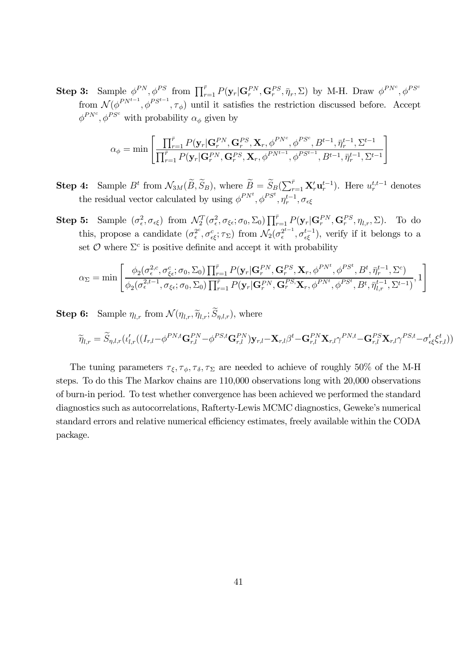**Step 3:** Sample  $\phi^{PN}$ ,  $\phi^{PS}$  from  $\prod_{r=1}^{\bar{r}} P(\mathbf{y}_r | \mathbf{G}_r^{PN}, \mathbf{G}_r^{PS}, \bar{\eta}_r, \Sigma)$  by M-H. Draw  $\phi^{PN^c}$ ,  $\phi^{PS^c}$ from  $\mathcal{N}(\phi^{PN^{t-1}}, \phi^{PS^{t-1}}, \tau_{\phi})$  until it satisfies the restriction discussed before. Accept  $\phi^{PN^c}, \phi^{PS^c}$  with probability  $\alpha_{\phi}$  given by

$$
\alpha_{\phi} = \min \left[ \frac{\prod_{r=1}^{\bar{r}} P(\mathbf{y}_r | \mathbf{G}_r^{PN}, \mathbf{G}_r^{PS}, \mathbf{X}_r, \phi^{PN^c}, \phi^{PS^c}, B^{t-1}, \bar{\eta}_r^{t-1}, \Sigma^{t-1}}{\prod_{r=1}^{\bar{r}} P(\mathbf{y}_r | \mathbf{G}_r^{PN}, \mathbf{G}_r^{PS}, \mathbf{X}_r, \phi^{PN^{t-1}}, \phi^{PS^{t-1}}, B^{t-1}, \bar{\eta}_r^{t-1}, \Sigma^{t-1}} \right]
$$

**Step 4:** Sample  $B^t$  from  $\mathcal{N}_{3M}(\widetilde{B}, \widetilde{S}_B)$ , where  $\widetilde{B} = \widetilde{S}_B(\sum_{r=1}^{\bar{r}} \mathbf{X}_r' \mathbf{u}_r^{t-1})$ . Here  $u_r^{t,t-1}$  denotes the residual vector calculated by using  $\phi^{PN^t}, \phi^{PS^t}, \eta_r^{t-1}, \sigma_{\epsilon\xi}$ 

**Step 5:** Sample  $(\sigma_{\epsilon}^2, \sigma_{\epsilon\xi})$  from  $\mathcal{N}_2^T(\sigma_{\epsilon}^2, \sigma_{\xi\epsilon}; \sigma_0, \Sigma_0) \prod_{r=1}^{\bar{r}} P(\mathbf{y}_r | \mathbf{G}_r^{PN}, \mathbf{G}_r^{PS}, \eta_{l,r}, \Sigma)$ . To do this, propose a candidate  $(\sigma_{\epsilon}^{2c}, \sigma_{\epsilon\xi}^c; \tau_{\Sigma})$  from  $\mathcal{N}_2(\sigma_{\epsilon}^{2^{t-1}}, \sigma_{\epsilon\xi}^{t-1})$ , verify if it belongs to a set  $\mathcal O$  where  $\Sigma^c$  is positive definite and accept it with probability

$$
\alpha_{\Sigma} = \min \left[ \frac{\phi_2(\sigma_{\epsilon}^{2,c}, \sigma_{\xi\epsilon}^c; \sigma_0, \Sigma_0) \prod_{r=1}^{\bar{r}} P(\mathbf{y}_r | \mathbf{G}_r^{PN}, \mathbf{G}_r^{PS}, \mathbf{X}_r, \phi^{PN^t}, \phi^{PS^t}, B^t, \bar{\eta}_r^{t-1}, \Sigma^c)}{\phi_2(\sigma_{\epsilon}^{2,t-1}, \sigma_{\xi\epsilon}; \sigma_0, \Sigma_0) \prod_{r=1}^{\bar{r}} P(\mathbf{y}_r | \mathbf{G}_r^{PN}, \mathbf{G}_r^{PS}, \mathbf{X}_r, \phi^{PN^t}, \phi^{PS^t}, B^t, \bar{\eta}_{l,r}^{t-1}, \Sigma^{t-1})}, 1 \right]
$$

**Step 6:** Sample  $\eta_{l,r}$  from  $\mathcal{N}(\eta_{l,r}, \widetilde{\eta}_{l,r}; \widetilde{S}_{\eta,l,r})$ , where

$$
\widetilde{\eta}_{l,r} = \widetilde{S}_{\eta,l,r}(\iota'_{l,r}((I_{r,l}-\phi^{PN,t}\mathbf{G}_{r,l}^{PN}-\phi^{PS,t}\mathbf{G}_{r,l}^{PN})\mathbf{y}_{r,l} - \mathbf{X}_{r,l}\beta^{t} - \mathbf{G}_{r,l}^{PN}\mathbf{X}_{r,l}\gamma^{PN,t} - \mathbf{G}_{r,l}^{PS}\mathbf{X}_{r,l}\gamma^{PS,t} - \sigma_{\epsilon\xi}^{t}\xi_{r,l}^{t}))
$$

The tuning parameters  $\tau_{\xi}, \tau_{\phi}, \tau_{\delta}, \tau_{\Sigma}$  are needed to achieve of roughly 50% of the M-H steps. To do this The Markov chains are 110,000 observations long with 20,000 observations of burn-in period. To test whether convergence has been achieved we performed the standard diagnostics such as autocorrelations, Rafterty-Lewis MCMC diagnostics, Geweke's numerical standard errors and relative numerical efficiency estimates, freely available within the CODA package.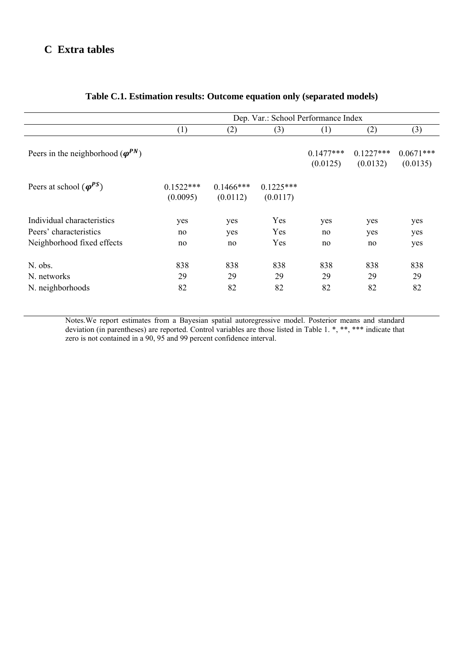## **C Extra tables**

|                                              | Dep. Var.: School Performance Index |                          |                         |                         |                         |                         |  |
|----------------------------------------------|-------------------------------------|--------------------------|-------------------------|-------------------------|-------------------------|-------------------------|--|
|                                              | (1)                                 | (2)                      | (3)                     | (1)                     | (2)                     | (3)                     |  |
| Peers in the neighborhood ( $\varphi^{PN}$ ) |                                     |                          |                         | $0.1477***$<br>(0.0125) | $0.1227***$<br>(0.0132) | $0.0671***$<br>(0.0135) |  |
| Peers at school $(\varphi^{PS})$             | $0.1522***$<br>(0.0095)             | $0.1466$ ***<br>(0.0112) | $0.1225***$<br>(0.0117) |                         |                         |                         |  |
| Individual characteristics                   | yes                                 | yes                      | Yes                     | yes                     | yes                     | yes                     |  |
| Peers' characteristics                       | no                                  | yes                      | Yes                     | no                      | yes                     | yes                     |  |
| Neighborhood fixed effects                   | no                                  | no                       | Yes                     | no                      | no                      | yes                     |  |
| N. obs.                                      | 838                                 | 838                      | 838                     | 838                     | 838                     | 838                     |  |
| N. networks                                  | 29                                  | 29                       | 29                      | 29                      | 29                      | 29                      |  |
| N. neighborhoods                             | 82                                  | 82                       | 82                      | 82                      | 82                      | 82                      |  |

## **Table C.1. Estimation results: Outcome equation only (separated models)**

Notes.We report estimates from a Bayesian spatial autoregressive model. Posterior means and standard deviation (in parentheses) are reported. Control variables are those listed in Table 1. \*, \*\*, \*\*\* indicate that zero is not contained in a 90, 95 and 99 percent confidence interval.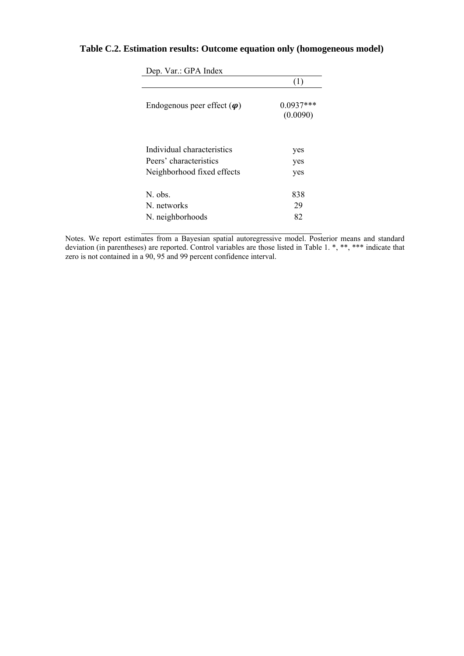## **Table C.2. Estimation results: Outcome equation only (homogeneous model)**

|                                    | (1)                     |
|------------------------------------|-------------------------|
| Endogenous peer effect $(\varphi)$ | $0.0937***$<br>(0.0090) |
| Individual characteristics         | yes                     |
| Peers' characteristics             | yes                     |
| Neighborhood fixed effects         | yes                     |
| N. obs.                            | 838                     |
| N networks                         | 29                      |
| N. neighborhoods                   | 82                      |

Dep. Var.: GPA Index

Notes. We report estimates from a Bayesian spatial autoregressive model. Posterior means and standard deviation (in parentheses) are reported. Control variables are those listed in Table 1. \*, \*\*, \*\*\* indicate that zero is not contained in a 90, 95 and 99 percent confidence interval.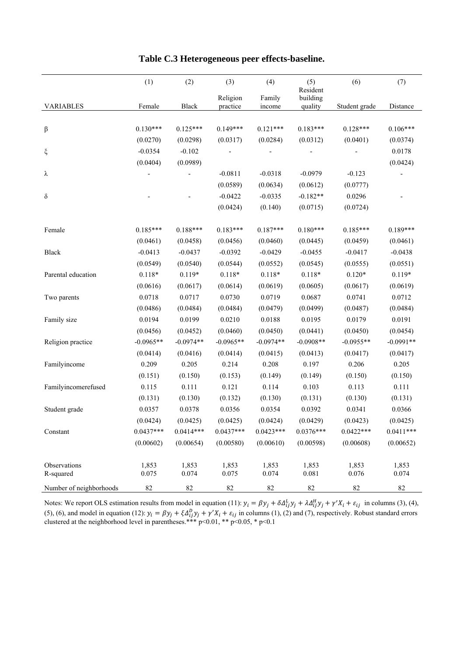|                         | (1)         | (2)         | (3)         | (4)         | (5)<br>Resident | (6)           | (7)         |
|-------------------------|-------------|-------------|-------------|-------------|-----------------|---------------|-------------|
|                         |             |             | Religion    | Family      | building        |               |             |
| <b>VARIABLES</b>        | Female      | Black       | practice    | income      | quality         | Student grade | Distance    |
|                         |             |             |             |             |                 |               |             |
| β                       | $0.130***$  | $0.125***$  | $0.149***$  | $0.121***$  | $0.183***$      | $0.128***$    | $0.106***$  |
|                         | (0.0270)    | (0.0298)    | (0.0317)    | (0.0284)    | (0.0312)        | (0.0401)      | (0.0374)    |
| ξ                       | $-0.0354$   | $-0.102$    |             |             |                 |               | 0.0178      |
|                         | (0.0404)    | (0.0989)    |             |             |                 |               | (0.0424)    |
| λ                       |             |             | $-0.0811$   | $-0.0318$   | $-0.0979$       | $-0.123$      |             |
|                         |             |             | (0.0589)    | (0.0634)    | (0.0612)        | (0.0777)      |             |
| $\delta$                |             |             | $-0.0422$   | $-0.0335$   | $-0.182**$      | 0.0296        |             |
|                         |             |             | (0.0424)    | (0.140)     | (0.0715)        | (0.0724)      |             |
| Female                  | $0.185***$  | $0.188***$  | $0.183***$  | $0.187***$  | $0.180***$      | $0.185***$    | $0.189***$  |
|                         | (0.0461)    | (0.0458)    | (0.0456)    | (0.0460)    | (0.0445)        | (0.0459)      | (0.0461)    |
| Black                   | $-0.0413$   | $-0.0437$   | $-0.0392$   | $-0.0429$   | $-0.0455$       | $-0.0417$     | $-0.0438$   |
|                         | (0.0549)    | (0.0540)    | (0.0544)    | (0.0552)    | (0.0545)        | (0.0555)      | (0.0551)    |
| Parental education      | $0.118*$    | $0.119*$    | $0.118*$    | $0.118*$    | $0.118*$        | $0.120*$      | $0.119*$    |
|                         | (0.0616)    | (0.0617)    | (0.0614)    | (0.0619)    | (0.0605)        | (0.0617)      | (0.0619)    |
| Two parents             | 0.0718      | 0.0717      | 0.0730      | 0.0719      | 0.0687          | 0.0741        | 0.0712      |
|                         | (0.0486)    | (0.0484)    | (0.0484)    | (0.0479)    | (0.0499)        | (0.0487)      | (0.0484)    |
| Family size             | 0.0194      | 0.0199      | 0.0210      | 0.0188      | 0.0195          | 0.0179        | 0.0191      |
|                         | (0.0456)    | (0.0452)    | (0.0460)    | (0.0450)    | (0.0441)        | (0.0450)      | (0.0454)    |
| Religion practice       | $-0.0965**$ | $-0.0974**$ | $-0.0965**$ | $-0.0974**$ | $-0.0908**$     | $-0.0955**$   | $-0.0991**$ |
|                         | (0.0414)    | (0.0416)    | (0.0414)    | (0.0415)    | (0.0413)        | (0.0417)      | (0.0417)    |
| Familyincome            | 0.209       | 0.205       | 0.214       | 0.208       | 0.197           | 0.206         | 0.205       |
|                         | (0.151)     | (0.150)     | (0.153)     | (0.149)     | (0.149)         | (0.150)       | (0.150)     |
| Familyincomerefused     | 0.115       | 0.111       | 0.121       | 0.114       | 0.103           | 0.113         | 0.111       |
|                         | (0.131)     | (0.130)     | (0.132)     | (0.130)     | (0.131)         | (0.130)       | (0.131)     |
| Student grade           | 0.0357      | 0.0378      | 0.0356      | 0.0354      | 0.0392          | 0.0341        | 0.0366      |
|                         | (0.0424)    | (0.0425)    | (0.0425)    | (0.0424)    | (0.0429)        | (0.0423)      | (0.0425)    |
| Constant                | $0.0437***$ | $0.0414***$ | $0.0437***$ | $0.0423***$ | $0.0376***$     | $0.0422***$   | $0.0411***$ |
|                         | (0.00602)   | (0.00654)   | (0.00580)   | (0.00610)   | (0.00598)       | (0.00608)     | (0.00652)   |
| Observations            | 1,853       | 1,853       | 1,853       | 1,853       | 1,853           | 1,853         | 1,853       |
| R-squared               | 0.075       | 0.074       | 0.075       | 0.074       | 0.081           | 0.076         | 0.074       |
| Number of neighborhoods | 82          | 82          | 82          | 82          | 82              | 82            | 82          |

## **Table C.3 Heterogeneous peer effects-baseline.**

Notes: We report OLS estimation results from model in equation (11):  $y_i = \beta y_j + \delta \Delta_{ij}^L y_j + \lambda \Delta_{ij}^H y_j + \gamma' X_i + \varepsilon_{ij}$  in columns (3), (4), (5), (6), and model in equation (12):  $y_i = \beta y_j + \xi \Delta_{ij}^D y_j + \gamma' X_i + \varepsilon_{ij}$  in columns (1), (2) and (7), respectively. Robust standard errors clustered at the neighborhood level in parentheses.\*\*\*  $p<0.01$ , \*\*  $p<0.05$ , \*  $p<0.1$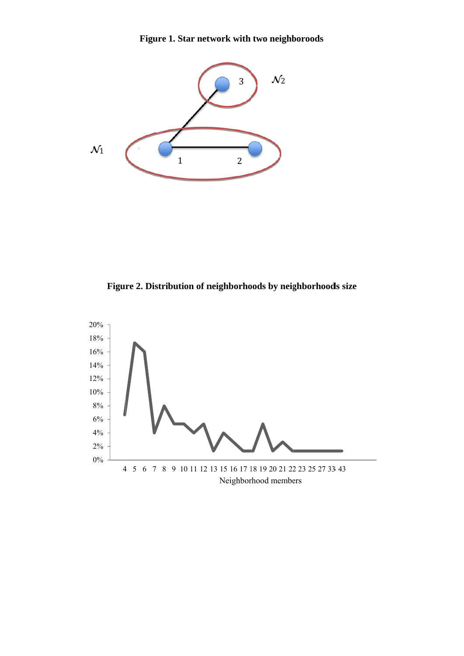**Figure 1. Star network with two neighboroods** 



Figure 2. Distribution of neighborhoods by neighborhoods size

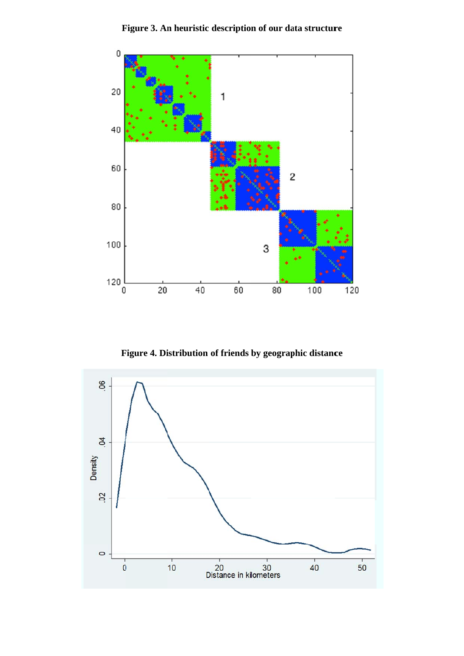

**Figure 3. An heuristic description of our data structure** 

**Figure 4. Distribution of friends by geographic distance** 

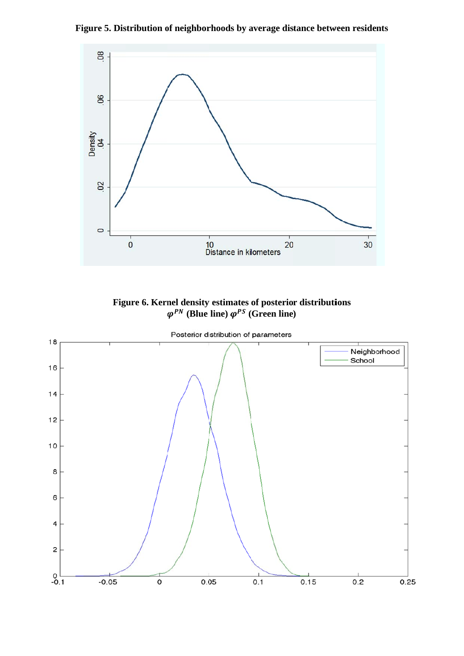Figure 5. Distribution of neighborhoods by average distance between residents



**Figure 6. Kernel density**  $\varphi^{PN}$  (Blue **y estimates**   $\lim_{\epsilon \to 0} \varphi^{PS}$  ( **of posterio (Green line r distributi ) ions** 

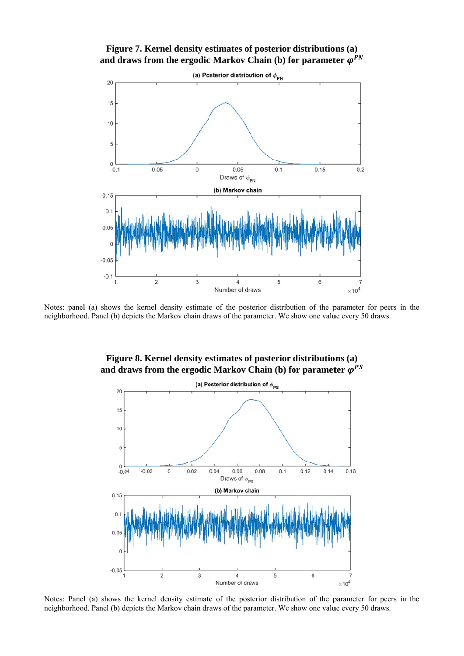



Notes: panel (a) shows the kernel density estimate of the posterior distribution of the parameter for peers in the neighborhood. Panel (b) depicts the Markov chain draws of the parameter. We show one value every 50 draws.



**Figure 8. Kernel density estimates of posterior distributions (a)** and draws from the ergodic Markov Chain (b) for parameter  $\varphi^{PS}$ 

Notes: Panel (a) shows the kernel density estimate of the posterior distribution of the parameter for peers in the neighborhood. Panel (b) depicts the Markov chain draws of the parameter. We show one value every 50 draws.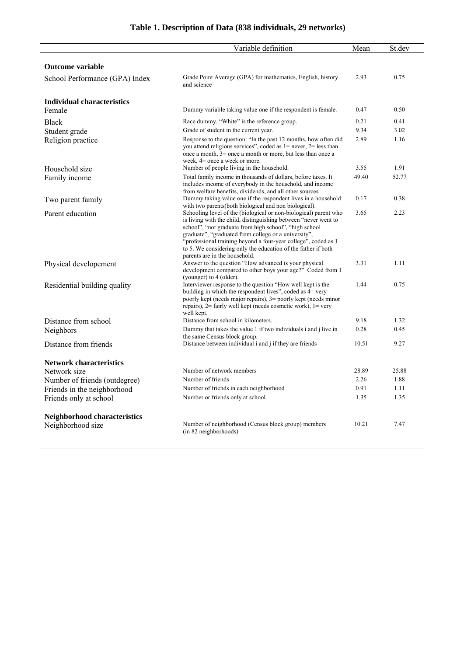|                                                   | Variable definition                                                                                                                                                                                                                                                                                                                                                                                                       | Mean  | St.dev |
|---------------------------------------------------|---------------------------------------------------------------------------------------------------------------------------------------------------------------------------------------------------------------------------------------------------------------------------------------------------------------------------------------------------------------------------------------------------------------------------|-------|--------|
| <b>Outcome variable</b>                           |                                                                                                                                                                                                                                                                                                                                                                                                                           |       |        |
| School Performance (GPA) Index                    | Grade Point Average (GPA) for mathematics, English, history<br>and science                                                                                                                                                                                                                                                                                                                                                | 2.93  | 0.75   |
| Individual characteristics                        |                                                                                                                                                                                                                                                                                                                                                                                                                           |       |        |
| Female                                            | Dummy variable taking value one if the respondent is female.                                                                                                                                                                                                                                                                                                                                                              | 0.47  | 0.50   |
| <b>Black</b>                                      | Race dummy. "White" is the reference group.                                                                                                                                                                                                                                                                                                                                                                               | 0.21  | 0.41   |
| Student grade                                     | Grade of student in the current year.                                                                                                                                                                                                                                                                                                                                                                                     | 9.34  | 3.02   |
| Religion practice                                 | Response to the question: "In the past 12 months, how often did<br>you attend religious services", coded as $1 =$ never, $2 =$ less than<br>once a month, 3= once a month or more, but less than once a<br>week, 4= once a week or more.                                                                                                                                                                                  | 2.89  | 1.16   |
| Household size                                    | Number of people living in the household.                                                                                                                                                                                                                                                                                                                                                                                 | 3.55  | 1.91   |
| Family income                                     | Total family income in thousands of dollars, before taxes. It<br>includes income of everybody in the household, and income<br>from welfare benefits, dividends, and all other sources                                                                                                                                                                                                                                     | 49.40 | 52.77  |
| Two parent family                                 | Dummy taking value one if the respondent lives in a household<br>with two parents(both biological and non biological).                                                                                                                                                                                                                                                                                                    | 0.17  | 0.38   |
| Parent education                                  | Schooling level of the (biological or non-biological) parent who<br>is living with the child, distinguishing between "never went to<br>school", "not graduate from high school", "high school<br>graduate", "graduated from college or a university",<br>"professional training beyond a four-year college", coded as 1<br>to 5. We considering only the education of the father if both<br>parents are in the household. | 3.65  | 2.23   |
| Physical developement                             | Answer to the question "How advanced is your physical<br>development compared to other boys your age?" Coded from 1<br>(younger) to 4 (older).                                                                                                                                                                                                                                                                            | 3.31  | 1.11   |
| Residential building quality                      | Interviewer response to the question "How well kept is the<br>building in which the respondent lives", coded as 4= very<br>poorly kept (needs major repairs), 3= poorly kept (needs minor<br>repairs), 2= fairly well kept (needs cosmetic work), 1= very<br>well kept.                                                                                                                                                   | 1.44  | 0.75   |
| Distance from school                              | Distance from school in kilometers.                                                                                                                                                                                                                                                                                                                                                                                       | 9.18  | 1.32   |
| Neighbors                                         | Dummy that takes the value 1 if two individuals i and j live in<br>the same Census block group.                                                                                                                                                                                                                                                                                                                           | 0.28  | 0.45   |
| Distance from friends                             | Distance between individual i and j if they are friends                                                                                                                                                                                                                                                                                                                                                                   | 10.51 | 9.27   |
| <b>Network characteristics</b>                    |                                                                                                                                                                                                                                                                                                                                                                                                                           |       |        |
| Network size                                      | Number of network members                                                                                                                                                                                                                                                                                                                                                                                                 | 28.89 | 25.88  |
| Number of friends (outdegree)                     | Number of friends                                                                                                                                                                                                                                                                                                                                                                                                         | 2.26  | 1.88   |
| Friends in the neighborhood                       | Number of friends in each neighborhood                                                                                                                                                                                                                                                                                                                                                                                    | 0.91  | 1.11   |
| Friends only at school                            | Number or friends only at school                                                                                                                                                                                                                                                                                                                                                                                          | 1.35  | 1.35   |
| Neighborhood characteristics<br>Neighborhood size | Number of neighborhood (Census block group) members<br>(in 82 neighborhoods)                                                                                                                                                                                                                                                                                                                                              | 10.21 | 7.47   |

## **Table 1. Description of Data (838 individuals, 29 networks)**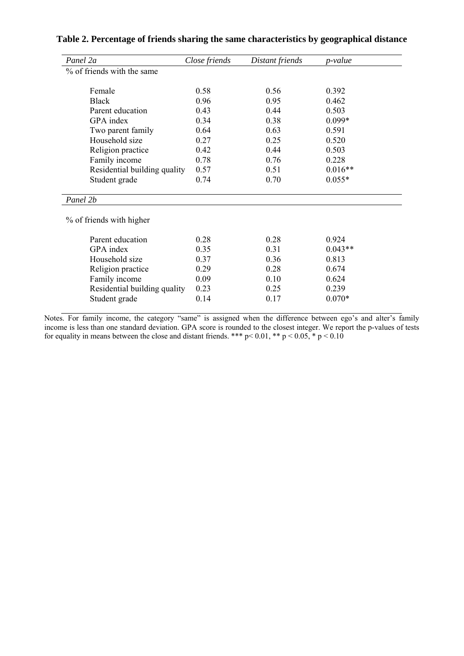| Panel 2a                     | Close friends | Distant friends | p-value   |
|------------------------------|---------------|-----------------|-----------|
| % of friends with the same   |               |                 |           |
| Female                       | 0.58          | 0.56            | 0.392     |
| <b>Black</b>                 | 0.96          | 0.95            | 0.462     |
| Parent education             | 0.43          | 0.44            | 0.503     |
| GPA index                    | 0.34          | 0.38            | $0.099*$  |
| Two parent family            | 0.64          | 0.63            | 0.591     |
| Household size               | 0.27          | 0.25            | 0.520     |
| Religion practice            | 0.42          | 0.44            | 0.503     |
| Family income                | 0.78          | 0.76            | 0.228     |
| Residential building quality | 0.57          | 0.51            | $0.016**$ |
| Student grade                | 0.74          | 0.70            | $0.055*$  |
| Panel 2b                     |               |                 |           |
| % of friends with higher     |               |                 |           |
| Parent education             | 0.28          | 0.28            | 0.924     |
| GPA index                    | 0.35          | 0.31            | $0.043**$ |
| Household size               | 0.37          | 0.36            | 0.813     |
| Religion practice            | 0.29          | 0.28            | 0.674     |
| Family income                | 0.09          | 0.10            | 0.624     |
| Residential building quality | 0.23          | 0.25            | 0.239     |
| Student grade                | 0.14          | 0.17            | $0.070*$  |

### **Table 2. Percentage of friends sharing the same characteristics by geographical distance**

Notes. For family income, the category "same" is assigned when the difference between ego's and alter's family income is less than one standard deviation. GPA score is rounded to the closest integer. We report the p-values of tests for equality in means between the close and distant friends. \*\*\*  $p < 0.01$ , \*\*  $p < 0.05$ , \*  $p < 0.10$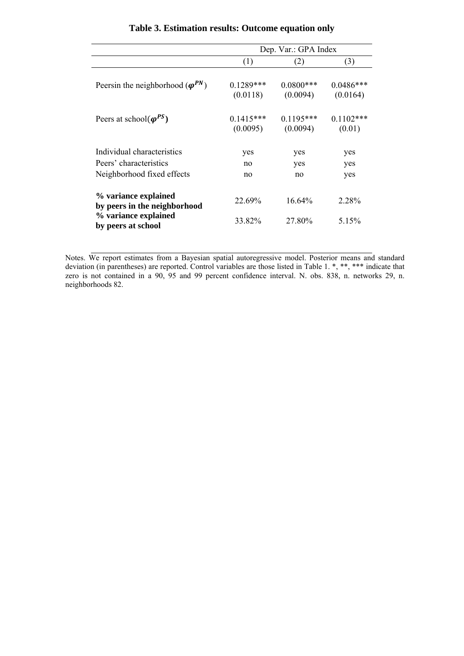|                                                      | Dep. Var.: GPA Index     |                          |                         |  |  |
|------------------------------------------------------|--------------------------|--------------------------|-------------------------|--|--|
|                                                      | (1)                      | (2)                      | (3)                     |  |  |
| Peersin the neighborhood ( $\varphi^{PN}$ )          | $0.1289$ ***<br>(0.0118) | $0.0800$ ***<br>(0.0094) | $0.0486***$<br>(0.0164) |  |  |
| Peers at school( $\varphi^{PS}$ )                    | $0.1415***$<br>(0.0095)  | $0.1195***$<br>(0.0094)  | $0.1102$ ***<br>(0.01)  |  |  |
| Individual characteristics                           | yes                      | yes                      | yes                     |  |  |
| Peers' characteristics                               | no                       | yes                      | yes                     |  |  |
| Neighborhood fixed effects                           | no                       | no                       | yes                     |  |  |
| % variance explained<br>by peers in the neighborhood | 22.69%                   | $16.64\%$                | 2.28%                   |  |  |
| % variance explained<br>by peers at school           | 33.82%                   | 27.80%                   | 5.15%                   |  |  |

## **Table 3. Estimation results: Outcome equation only**

Notes. We report estimates from a Bayesian spatial autoregressive model. Posterior means and standard deviation (in parentheses) are reported. Control variables are those listed in Table 1. \*, \*\*, \*\*\* indicate that zero is not contained in a 90, 95 and 99 percent confidence interval. N. obs. 838, n. networks 29, n. neighborhoods 82.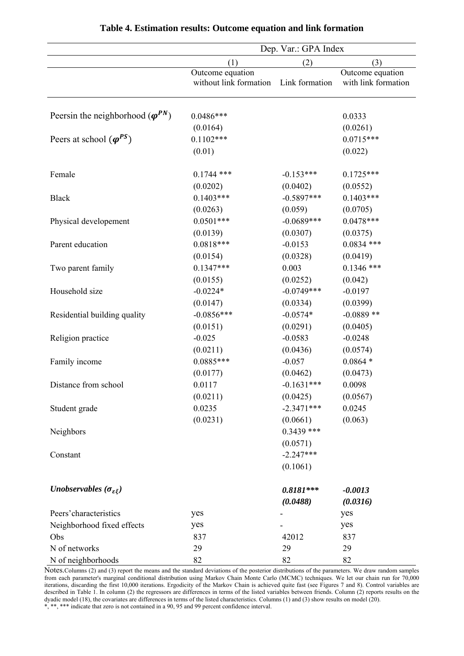|                                             |                        | Dep. Var.: GPA Index |                     |
|---------------------------------------------|------------------------|----------------------|---------------------|
|                                             | (1)                    | (2)                  | (3)                 |
|                                             | Outcome equation       |                      | Outcome equation    |
|                                             | without link formation | Link formation       | with link formation |
| Peersin the neighborhood ( $\varphi^{PN}$ ) | $0.0486***$            |                      | 0.0333              |
|                                             | (0.0164)               |                      | (0.0261)            |
| Peers at school $(\varphi^{PS})$            | $0.1102***$            |                      | $0.0715***$         |
|                                             | (0.01)                 |                      | (0.022)             |
| Female                                      | $0.1744$ ***           | $-0.153***$          | $0.1725***$         |
|                                             | (0.0202)               | (0.0402)             | (0.0552)            |
| <b>Black</b>                                | $0.1403***$            | $-0.5897***$         | $0.1403***$         |
|                                             | (0.0263)               | (0.059)              | (0.0705)            |
| Physical developement                       | $0.0501***$            | $-0.0689***$         | $0.0478***$         |
|                                             | (0.0139)               | (0.0307)             | (0.0375)            |
| Parent education                            | $0.0818***$            | $-0.0153$            | $0.0834$ ***        |
|                                             | (0.0154)               | (0.0328)             | (0.0419)            |
| Two parent family                           | $0.1347***$            | 0.003                | $0.1346$ ***        |
|                                             | (0.0155)               | (0.0252)             | (0.042)             |
| Household size                              | $-0.0224*$             | $-0.0749***$         | $-0.0197$           |
|                                             | (0.0147)               | (0.0334)             | (0.0399)            |
| Residential building quality                | $-0.0856***$           | $-0.0574*$           | $-0.0889**$         |
|                                             | (0.0151)               | (0.0291)             | (0.0405)            |
| Religion practice                           | $-0.025$               | $-0.0583$            | $-0.0248$           |
|                                             | (0.0211)               | (0.0436)             | (0.0574)            |
| Family income                               | $0.0885***$            | $-0.057$             | $0.0864*$           |
|                                             | (0.0177)               | (0.0462)             | (0.0473)            |
| Distance from school                        | 0.0117                 | $-0.1631***$         | 0.0098              |
|                                             | (0.0211)               | (0.0425)             | (0.0567)            |
| Student grade                               | 0.0235                 | $-2.3471***$         | 0.0245              |
|                                             | (0.0231)               | (0.0661)             | (0.063)             |
| Neighbors                                   |                        | $0.3439$ ***         |                     |
|                                             |                        | (0.0571)             |                     |
| Constant                                    |                        | $-2.247***$          |                     |
|                                             |                        | (0.1061)             |                     |
| Unobservables ( $\sigma_{\varepsilon\xi}$ ) |                        | $0.8181***$          | $-0.0013$           |
|                                             |                        | (0.0488)             | (0.0316)            |
| Peers' characteristics                      | yes                    |                      | yes                 |
| Neighborhood fixed effects                  | yes                    |                      | yes                 |
| Obs                                         | 837                    | 42012                | 837                 |
| N of networks                               | 29                     | 29                   | 29                  |
| N of neighborhoods                          | 82                     | 82                   | 82                  |

#### **Table 4. Estimation results: Outcome equation and link formation**

Notes.Columns (2) and (3) report the means and the standard deviations of the posterior distributions of the parameters. We draw random samples from each parameter's marginal conditional distribution using Markov Chain Monte Carlo (MCMC) techniques. We let our chain run for 70,000 iterations, discarding the first 10,000 iterations. Ergodicity of the Markov Chain is achieved quite fast (see Figures 7 and 8). Control variables are described in Table 1. In column (2) the regressors are differences in terms of the listed variables between friends. Column (2) reports results on the dyadic model (18), the covariates are differences in terms of the listed characteristics. Columns (1) and (3) show results on model (20). \*, \*\*, \*\*\* indicate that zero is not contained in a 90, 95 and 99 percent confidence interval.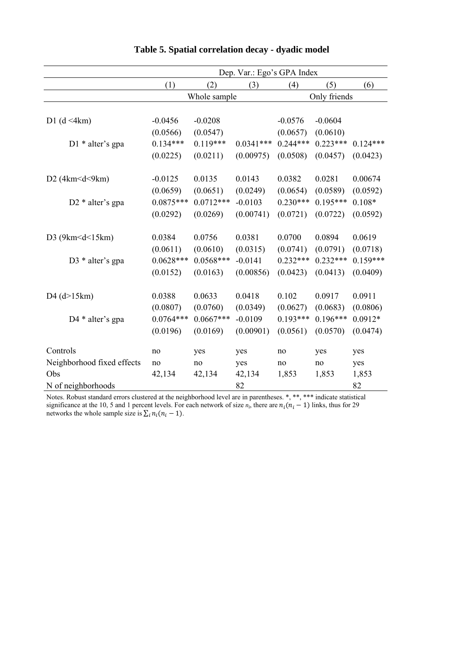|                            |             |              | Dep. Var.: Ego's GPA Index |            |              |            |
|----------------------------|-------------|--------------|----------------------------|------------|--------------|------------|
|                            | (1)         | (2)          | (3)                        | (4)        | (5)          | (6)        |
|                            |             | Whole sample |                            |            | Only friends |            |
|                            |             |              |                            |            |              |            |
| D1 $(d \leq 4km)$          | $-0.0456$   | $-0.0208$    |                            | $-0.0576$  | $-0.0604$    |            |
|                            | (0.0566)    | (0.0547)     |                            | (0.0657)   | (0.0610)     |            |
| $D1 *$ alter's gpa         | $0.134***$  | $0.119***$   | $0.0341***$                | $0.244***$ | $0.223***$   | $0.124***$ |
|                            | (0.0225)    | (0.0211)     | (0.00975)                  | (0.0508)   | (0.0457)     | (0.0423)   |
|                            |             |              |                            |            |              |            |
| D2 $(4km < d < 9km)$       | $-0.0125$   | 0.0135       | 0.0143                     | 0.0382     | 0.0281       | 0.00674    |
|                            | (0.0659)    | (0.0651)     | (0.0249)                   | (0.0654)   | (0.0589)     | (0.0592)   |
| $D2 *$ alter's gpa         | $0.0875***$ | $0.0712***$  | $-0.0103$                  | $0.230***$ | $0.195***$   | $0.108*$   |
|                            | (0.0292)    | (0.0269)     | (0.00741)                  | (0.0721)   | (0.0722)     | (0.0592)   |
| D3 $(9km < d < 15km)$      | 0.0384      | 0.0756       | 0.0381                     | 0.0700     | 0.0894       | 0.0619     |
|                            | (0.0611)    | (0.0610)     | (0.0315)                   | (0.0741)   | (0.0791)     | (0.0718)   |
| D3 $*$ alter's gpa         | $0.0628***$ | $0.0568***$  | $-0.0141$                  | $0.232***$ | $0.232***$   | $0.159***$ |
|                            | (0.0152)    | (0.0163)     | (0.00856)                  | (0.0423)   | (0.0413)     | (0.0409)   |
|                            |             |              |                            |            |              |            |
| $D4$ (d $>15km$ )          | 0.0388      | 0.0633       | 0.0418                     | 0.102      | 0.0917       | 0.0911     |
|                            | (0.0807)    | (0.0760)     | (0.0349)                   | (0.0627)   | (0.0683)     | (0.0806)   |
| D4 * alter's gpa           | $0.0764***$ | $0.0667***$  | $-0.0109$                  | $0.193***$ | $0.196***$   | $0.0912*$  |
|                            | (0.0196)    | (0.0169)     | (0.00901)                  | (0.0561)   | (0.0570)     | (0.0474)   |
| Controls                   | no          | yes          | yes                        | no         | yes          | yes        |
| Neighborhood fixed effects | no          | no           | yes                        | no         | no           | yes        |
| Obs                        | 42,134      | 42,134       | 42,134                     | 1,853      | 1,853        | 1,853      |
| N of neighborhoods         |             |              | 82                         |            |              | 82         |

## **Table 5. Spatial correlation decay - dyadic model**

Notes. Robust standard errors clustered at the neighborhood level are in parentheses. \*, \*\*, \*\*\* indicate statistical significance at the 10, 5 and 1 percent levels. For each network of size  $n_i$ , there are  $n_i(n_i - 1)$  links, thus for 29 networks the whole sample size is  $\sum_i n_i(n_i - 1)$ .